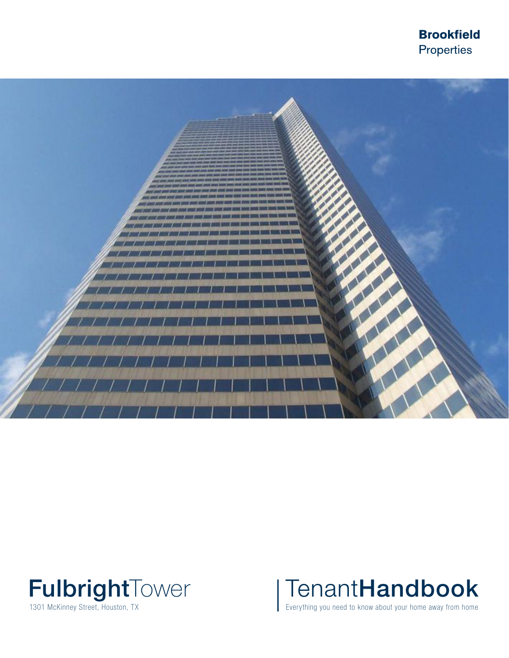**Brookfield** Properties







Everything you need to know about your home away from home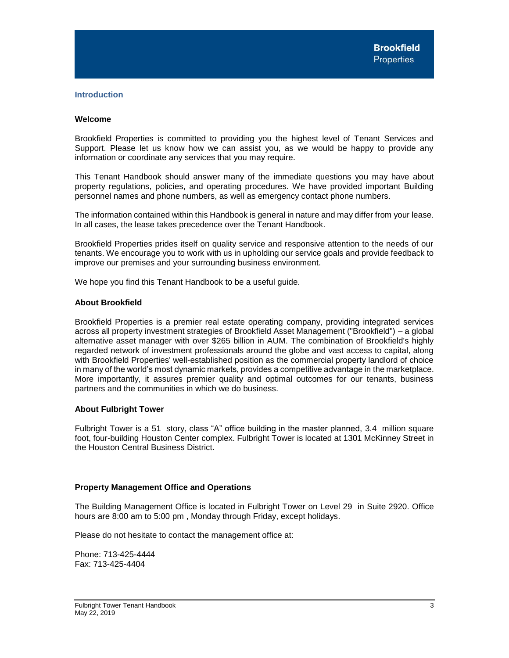## <span id="page-3-0"></span>**Introduction**

## <span id="page-3-1"></span>**Welcome**

Brookfield Properties is committed to providing you the highest level of Tenant Services and Support. Please let us know how we can assist you, as we would be happy to provide any information or coordinate any services that you may require.

This Tenant Handbook should answer many of the immediate questions you may have about property regulations, policies, and operating procedures. We have provided important Building personnel names and phone numbers, as well as emergency contact phone numbers.

The information contained within this Handbook is general in nature and may differ from your lease. In all cases, the lease takes precedence over the Tenant Handbook.

Brookfield Properties prides itself on quality service and responsive attention to the needs of our tenants. We encourage you to work with us in upholding our service goals and provide feedback to improve our premises and your surrounding business environment.

We hope you find this Tenant Handbook to be a useful guide.

#### <span id="page-3-2"></span>**About Brookfield**

Brookfield Properties is a premier real estate operating company, providing integrated services across all property investment strategies of Brookfield Asset Management ("Brookfield") – a global alternative asset manager with over \$265 billion in AUM. The combination of Brookfield's highly regarded network of investment professionals around the globe and vast access to capital, along with Brookfield Properties' well-established position as the commercial property landlord of choice in many of the world's most dynamic markets, provides a competitive advantage in the marketplace. More importantly, it assures premier quality and optimal outcomes for our tenants, business partners and the communities in which we do business.

## <span id="page-3-3"></span>**About Fulbright Tower**

Fulbright Tower is a 51 story, class "A" office building in the master planned, 3.4 million square foot, four-building Houston Center complex. Fulbright Tower is located at 1301 McKinney Street in the Houston Central Business District.

## <span id="page-3-4"></span>**Property Management Office and Operations**

The Building Management Office is located in Fulbright Tower on Level 29 in Suite 2920. Office hours are 8:00 am to 5:00 pm , Monday through Friday, except holidays.

Please do not hesitate to contact the management office at:

Phone: 713-425-4444 Fax: 713-425-4404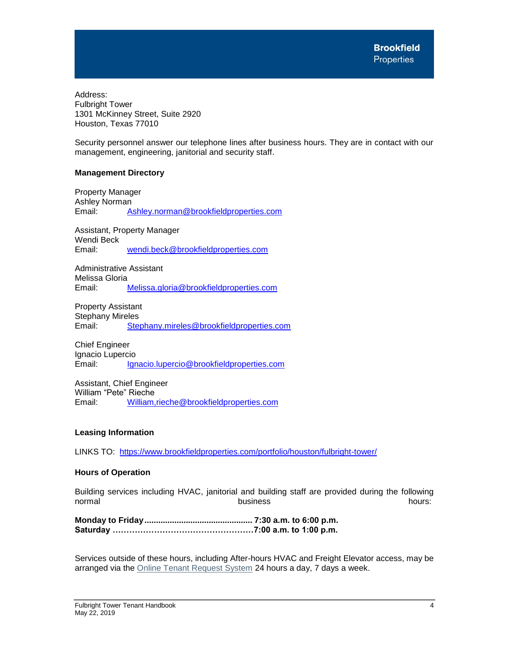Address: Fulbright Tower 1301 McKinney Street, Suite 2920 Houston, Texas 77010

Security personnel answer our telephone lines after business hours. They are in contact with our management, engineering, janitorial and security staff.

# <span id="page-4-0"></span>**Management Directory**

Property Manager Ashley Norman Email: Ashley.norman@brookfieldproperties.com

Assistant, Property Manager Wendi Beck Email: [wendi.beck@brookfieldproperties.com](mailto:wendi.beck@brookfieldproperties.com)

Administrative Assistant Melissa Gloria Email: [Melissa.gloria@brookfieldproperties.com](mailto:Melissa.gloria@brookfieldproperties.com)

Property Assistant Stephany Mireles Email: [Stephany.mireles@brookfieldproperties.com](mailto:Stephany.mireles@brookfieldproperties.com)

Chief Engineer Ignacio Lupercio Email: [Ignacio.lupercio@brookfieldproperties.com](mailto:Ignacio.lupercio@brookfieldproperties.com)

Assistant, Chief Engineer William "Pete" Rieche Email: William,rieche@brookfieldproperties.com

# <span id="page-4-1"></span>**Leasing Information**

LINKS TO: <https://www.brookfieldproperties.com/portfolio/houston/fulbright-tower/>

## <span id="page-4-2"></span>**Hours of Operation**

Building services including HVAC, janitorial and building staff are provided during the following normal business hours:

**Monday to Friday............................................... 7:30 a.m. to 6:00 p.m. Saturday ……………………………………………7:00 a.m. to 1:00 p.m.**

Services outside of these hours, including After-hours HVAC and Freight Elevator access, may be arranged via the [Online Tenant Request System](http://www.ng1.angusanywhere.com/Tenant/Trizec/Brookfield/Default.aspx) 24 hours a day, 7 days a week.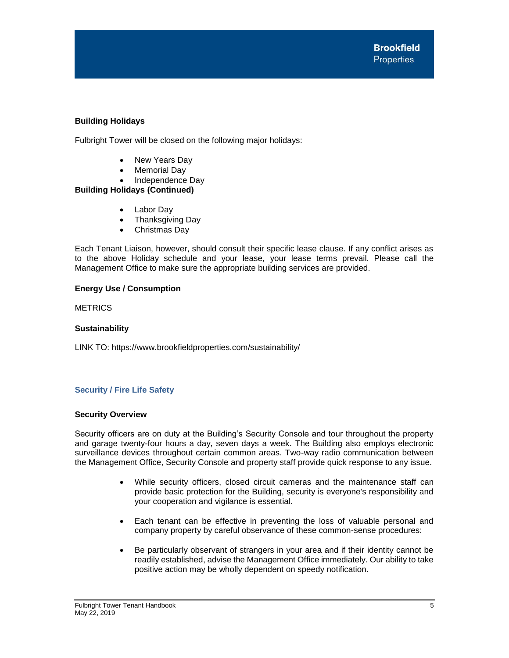# <span id="page-5-0"></span>**Building Holidays**

Fulbright Tower will be closed on the following major holidays:

- New Years Day
- Memorial Day
- Independence Day

# **Building Holidays (Continued)**

- Labor Day
- Thanksgiving Day
- Christmas Day

Each Tenant Liaison, however, should consult their specific lease clause. If any conflict arises as to the above Holiday schedule and your lease, your lease terms prevail. Please call the Management Office to make sure the appropriate building services are provided.

# <span id="page-5-1"></span>**Energy Use / Consumption**

**METRICS** 

# <span id="page-5-2"></span>**Sustainability**

LINK TO: https://www.brookfieldproperties.com/sustainability/

# <span id="page-5-3"></span>**Security / Fire Life Safety**

## <span id="page-5-4"></span>**Security Overview**

Security officers are on duty at the Building's Security Console and tour throughout the property and garage twenty-four hours a day, seven days a week. The Building also employs electronic surveillance devices throughout certain common areas. Two-way radio communication between the Management Office, Security Console and property staff provide quick response to any issue.

- While security officers, closed circuit cameras and the maintenance staff can provide basic protection for the Building, security is everyone's responsibility and your cooperation and vigilance is essential.
- Each tenant can be effective in preventing the loss of valuable personal and company property by careful observance of these common-sense procedures:
- Be particularly observant of strangers in your area and if their identity cannot be readily established, advise the Management Office immediately. Our ability to take positive action may be wholly dependent on speedy notification.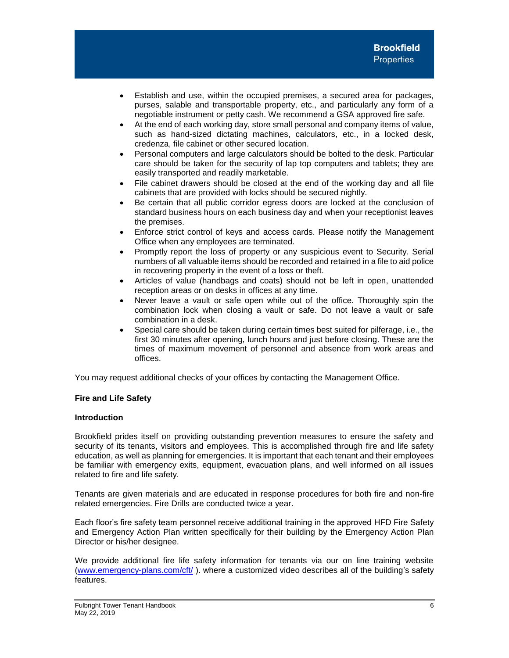- Establish and use, within the occupied premises, a secured area for packages, purses, salable and transportable property, etc., and particularly any form of a negotiable instrument or petty cash. We recommend a GSA approved fire safe.
- At the end of each working day, store small personal and company items of value, such as hand-sized dictating machines, calculators, etc., in a locked desk, credenza, file cabinet or other secured location.
- Personal computers and large calculators should be bolted to the desk. Particular care should be taken for the security of lap top computers and tablets; they are easily transported and readily marketable.
- File cabinet drawers should be closed at the end of the working day and all file cabinets that are provided with locks should be secured nightly.
- Be certain that all public corridor egress doors are locked at the conclusion of standard business hours on each business day and when your receptionist leaves the premises.
- Enforce strict control of keys and access cards. Please notify the Management Office when any employees are terminated.
- Promptly report the loss of property or any suspicious event to Security. Serial numbers of all valuable items should be recorded and retained in a file to aid police in recovering property in the event of a loss or theft.
- Articles of value (handbags and coats) should not be left in open, unattended reception areas or on desks in offices at any time.
- Never leave a vault or safe open while out of the office. Thoroughly spin the combination lock when closing a vault or safe. Do not leave a vault or safe combination in a desk.
- Special care should be taken during certain times best suited for pilferage, i.e., the first 30 minutes after opening, lunch hours and just before closing. These are the times of maximum movement of personnel and absence from work areas and offices.

You may request additional checks of your offices by contacting the Management Office.

# <span id="page-6-0"></span>**Fire and Life Safety**

## **Introduction**

Brookfield prides itself on providing outstanding prevention measures to ensure the safety and security of its tenants, visitors and employees. This is accomplished through fire and life safety education, as well as planning for emergencies. It is important that each tenant and their employees be familiar with emergency exits, equipment, evacuation plans, and well informed on all issues related to fire and life safety.

Tenants are given materials and are educated in response procedures for both fire and non-fire related emergencies. Fire Drills are conducted twice a year.

Each floor's fire safety team personnel receive additional training in the approved HFD Fire Safety and Emergency Action Plan written specifically for their building by the Emergency Action Plan Director or his/her designee.

We provide additional fire life safety information for tenants via our on line training website [\(www.emergency-plans.com/cft/](http://www.emergency-plans.com/cft/) ). where a customized video describes all of the building's safety features.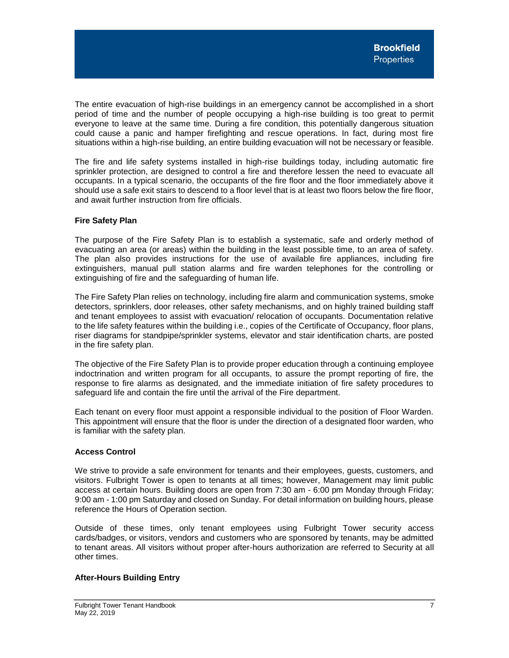The entire evacuation of high-rise buildings in an emergency cannot be accomplished in a short period of time and the number of people occupying a high-rise building is too great to permit everyone to leave at the same time. During a fire condition, this potentially dangerous situation could cause a panic and hamper firefighting and rescue operations. In fact, during most fire situations within a high-rise building, an entire building evacuation will not be necessary or feasible.

The fire and life safety systems installed in high-rise buildings today, including automatic fire sprinkler protection, are designed to control a fire and therefore lessen the need to evacuate all occupants. In a typical scenario, the occupants of the fire floor and the floor immediately above it should use a safe exit stairs to descend to a floor level that is at least two floors below the fire floor, and await further instruction from fire officials.

# <span id="page-7-0"></span>**Fire Safety Plan**

The purpose of the Fire Safety Plan is to establish a systematic, safe and orderly method of evacuating an area (or areas) within the building in the least possible time, to an area of safety. The plan also provides instructions for the use of available fire appliances, including fire extinguishers, manual pull station alarms and fire warden telephones for the controlling or extinguishing of fire and the safeguarding of human life.

The Fire Safety Plan relies on technology, including fire alarm and communication systems, smoke detectors, sprinklers, door releases, other safety mechanisms, and on highly trained building staff and tenant employees to assist with evacuation/ relocation of occupants. Documentation relative to the life safety features within the building i.e., copies of the Certificate of Occupancy, floor plans, riser diagrams for standpipe/sprinkler systems, elevator and stair identification charts, are posted in the fire safety plan.

The objective of the Fire Safety Plan is to provide proper education through a continuing employee indoctrination and written program for all occupants, to assure the prompt reporting of fire, the response to fire alarms as designated, and the immediate initiation of fire safety procedures to safeguard life and contain the fire until the arrival of the Fire department.

Each tenant on every floor must appoint a responsible individual to the position of Floor Warden. This appointment will ensure that the floor is under the direction of a designated floor warden, who is familiar with the safety plan.

# <span id="page-7-1"></span>**Access Control**

We strive to provide a safe environment for tenants and their employees, guests, customers, and visitors. Fulbright Tower is open to tenants at all times; however, Management may limit public access at certain hours. Building doors are open from 7:30 am - 6:00 pm Monday through Friday; 9:00 am - 1:00 pm Saturday and closed on Sunday. For detail information on building hours, please reference the Hours of Operation section.

Outside of these times, only tenant employees using Fulbright Tower security access cards/badges, or visitors, vendors and customers who are sponsored by tenants, may be admitted to tenant areas. All visitors without proper after-hours authorization are referred to Security at all other times.

## <span id="page-7-2"></span>**After-Hours Building Entry**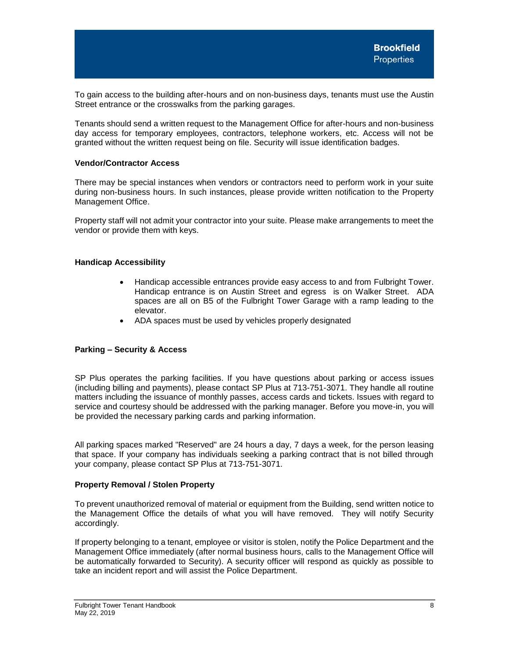To gain access to the building after-hours and on non-business days, tenants must use the Austin Street entrance or the crosswalks from the parking garages.

Tenants should send a written request to the Management Office for after-hours and non-business day access for temporary employees, contractors, telephone workers, etc. Access will not be granted without the written request being on file. Security will issue identification badges.

#### <span id="page-8-0"></span>**Vendor/Contractor Access**

There may be special instances when vendors or contractors need to perform work in your suite during non-business hours. In such instances, please provide written notification to the Property Management Office.

Property staff will not admit your contractor into your suite. Please make arrangements to meet the vendor or provide them with keys.

#### <span id="page-8-1"></span>**Handicap Accessibility**

- Handicap accessible entrances provide easy access to and from Fulbright Tower. Handicap entrance is on Austin Street and egress is on Walker Street. ADA spaces are all on B5 of the Fulbright Tower Garage with a ramp leading to the elevator.
- ADA spaces must be used by vehicles properly designated

## **Parking – Security & Access**

SP Plus operates the parking facilities. If you have questions about parking or access issues (including billing and payments), please contact SP Plus at 713-751-3071. They handle all routine matters including the issuance of monthly passes, access cards and tickets. Issues with regard to service and courtesy should be addressed with the parking manager. Before you move-in, you will be provided the necessary parking cards and parking information.

All parking spaces marked "Reserved" are 24 hours a day, 7 days a week, for the person leasing that space. If your company has individuals seeking a parking contract that is not billed through your company, please contact SP Plus at 713-751-3071.

#### <span id="page-8-2"></span>**Property Removal / Stolen Property**

To prevent unauthorized removal of material or equipment from the Building, send written notice to the Management Office the details of what you will have removed. They will notify Security accordingly.

If property belonging to a tenant, employee or visitor is stolen, notify the Police Department and the Management Office immediately (after normal business hours, calls to the Management Office will be automatically forwarded to Security). A security officer will respond as quickly as possible to take an incident report and will assist the Police Department.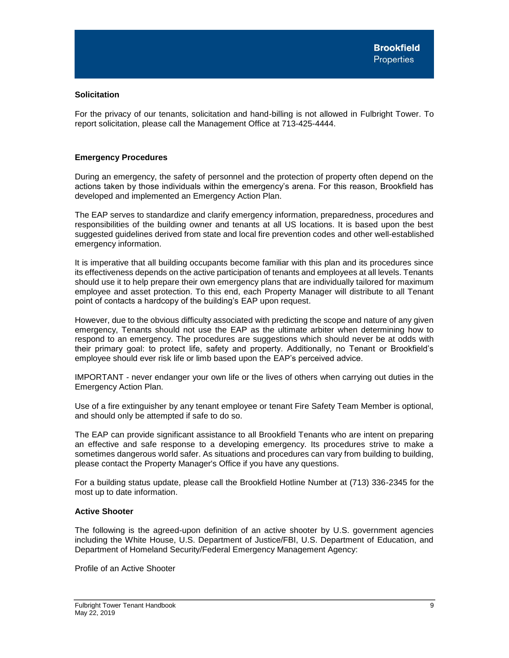# <span id="page-9-0"></span>**Solicitation**

For the privacy of our tenants, solicitation and hand-billing is not allowed in Fulbright Tower. To report solicitation, please call the Management Office at 713-425-4444.

# <span id="page-9-1"></span>**Emergency Procedures**

During an emergency, the safety of personnel and the protection of property often depend on the actions taken by those individuals within the emergency's arena. For this reason, Brookfield has developed and implemented an Emergency Action Plan.

The EAP serves to standardize and clarify emergency information, preparedness, procedures and responsibilities of the building owner and tenants at all US locations. It is based upon the best suggested guidelines derived from state and local fire prevention codes and other well-established emergency information.

It is imperative that all building occupants become familiar with this plan and its procedures since its effectiveness depends on the active participation of tenants and employees at all levels. Tenants should use it to help prepare their own emergency plans that are individually tailored for maximum employee and asset protection. To this end, each Property Manager will distribute to all Tenant point of contacts a hardcopy of the building's EAP upon request.

However, due to the obvious difficulty associated with predicting the scope and nature of any given emergency, Tenants should not use the EAP as the ultimate arbiter when determining how to respond to an emergency. The procedures are suggestions which should never be at odds with their primary goal: to protect life, safety and property. Additionally, no Tenant or Brookfield's employee should ever risk life or limb based upon the EAP's perceived advice.

IMPORTANT - never endanger your own life or the lives of others when carrying out duties in the Emergency Action Plan.

Use of a fire extinguisher by any tenant employee or tenant Fire Safety Team Member is optional, and should only be attempted if safe to do so.

The EAP can provide significant assistance to all Brookfield Tenants who are intent on preparing an effective and safe response to a developing emergency. Its procedures strive to make a sometimes dangerous world safer. As situations and procedures can vary from building to building, please contact the Property Manager's Office if you have any questions.

For a building status update, please call the Brookfield Hotline Number at (713) 336-2345 for the most up to date information.

## **Active Shooter**

The following is the agreed-upon definition of an active shooter by U.S. government agencies including the White House, U.S. Department of Justice/FBI, U.S. Department of Education, and Department of Homeland Security/Federal Emergency Management Agency:

Profile of an Active Shooter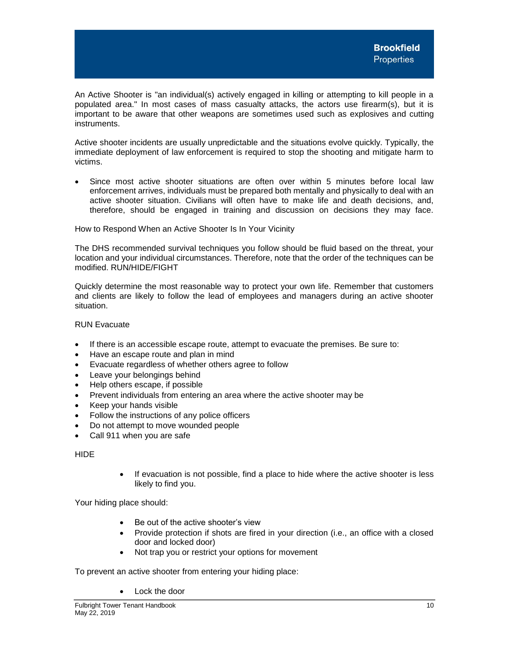An Active Shooter is "an individual(s) actively engaged in killing or attempting to kill people in a populated area." In most cases of mass casualty attacks, the actors use firearm(s), but it is important to be aware that other weapons are sometimes used such as explosives and cutting instruments.

Active shooter incidents are usually unpredictable and the situations evolve quickly. Typically, the immediate deployment of law enforcement is required to stop the shooting and mitigate harm to victims.

• Since most active shooter situations are often over within 5 minutes before local law enforcement arrives, individuals must be prepared both mentally and physically to deal with an active shooter situation. Civilians will often have to make life and death decisions, and, therefore, should be engaged in training and discussion on decisions they may face.

How to Respond When an Active Shooter Is In Your Vicinity

The DHS recommended survival techniques you follow should be fluid based on the threat, your location and your individual circumstances. Therefore, note that the order of the techniques can be modified. RUN/HIDE/FIGHT

Quickly determine the most reasonable way to protect your own life. Remember that customers and clients are likely to follow the lead of employees and managers during an active shooter situation.

RUN Evacuate

- If there is an accessible escape route, attempt to evacuate the premises. Be sure to:
- Have an escape route and plan in mind
- Evacuate regardless of whether others agree to follow
- Leave your belongings behind
- Help others escape, if possible
- Prevent individuals from entering an area where the active shooter may be
- Keep your hands visible
- Follow the instructions of any police officers
- Do not attempt to move wounded people
- Call 911 when you are safe

HIDE

If evacuation is not possible, find a place to hide where the active shooter is less likely to find you.

Your hiding place should:

- Be out of the active shooter's view
- Provide protection if shots are fired in your direction (i.e., an office with a closed door and locked door)
- Not trap you or restrict your options for movement

To prevent an active shooter from entering your hiding place:

• Lock the door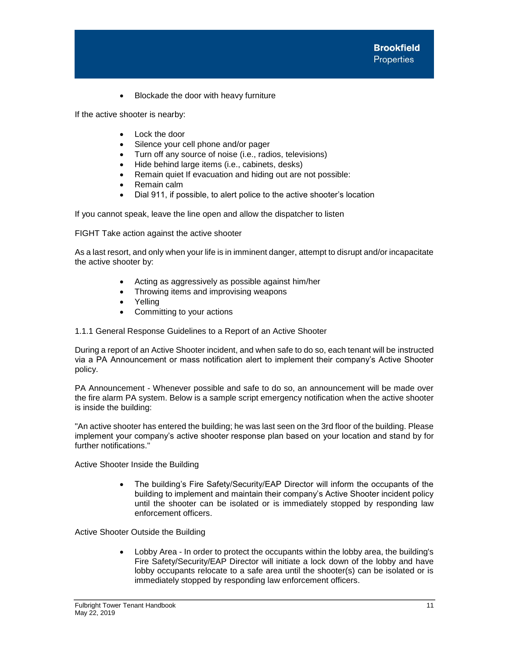• Blockade the door with heavy furniture

If the active shooter is nearby:

- Lock the door
- Silence your cell phone and/or pager
- Turn off any source of noise (i.e., radios, televisions)
- Hide behind large items (i.e., cabinets, desks)
- Remain quiet If evacuation and hiding out are not possible:
- Remain calm
- Dial 911, if possible, to alert police to the active shooter's location

If you cannot speak, leave the line open and allow the dispatcher to listen

FIGHT Take action against the active shooter

As a last resort, and only when your life is in imminent danger, attempt to disrupt and/or incapacitate the active shooter by:

- Acting as aggressively as possible against him/her
- Throwing items and improvising weapons
- **Yelling**
- Committing to your actions
- 1.1.1 General Response Guidelines to a Report of an Active Shooter

During a report of an Active Shooter incident, and when safe to do so, each tenant will be instructed via a PA Announcement or mass notification alert to implement their company's Active Shooter policy.

PA Announcement - Whenever possible and safe to do so, an announcement will be made over the fire alarm PA system. Below is a sample script emergency notification when the active shooter is inside the building:

"An active shooter has entered the building; he was last seen on the 3rd floor of the building. Please implement your company's active shooter response plan based on your location and stand by for further notifications."

Active Shooter Inside the Building

• The building's Fire Safety/Security/EAP Director will inform the occupants of the building to implement and maintain their company's Active Shooter incident policy until the shooter can be isolated or is immediately stopped by responding law enforcement officers.

Active Shooter Outside the Building

• Lobby Area - In order to protect the occupants within the lobby area, the building's Fire Safety/Security/EAP Director will initiate a lock down of the lobby and have lobby occupants relocate to a safe area until the shooter(s) can be isolated or is immediately stopped by responding law enforcement officers.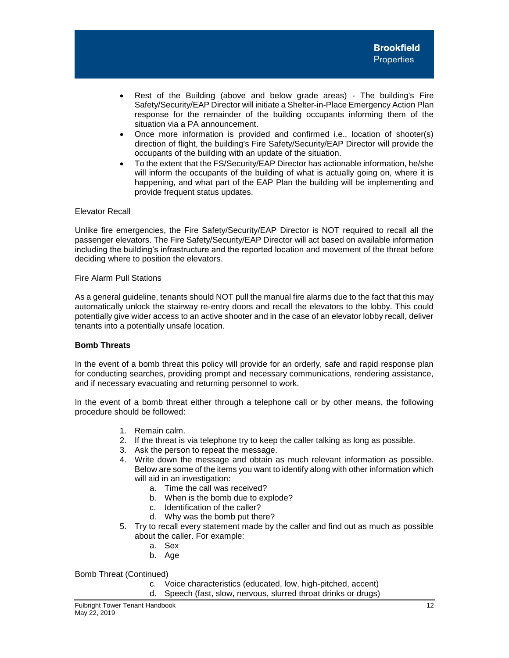- Rest of the Building (above and below grade areas) The building's Fire Safety/Security/EAP Director will initiate a Shelter-in-Place Emergency Action Plan response for the remainder of the building occupants informing them of the situation via a PA announcement.
- Once more information is provided and confirmed i.e., location of shooter(s) direction of flight, the building's Fire Safety/Security/EAP Director will provide the occupants of the building with an update of the situation.
- To the extent that the FS/Security/EAP Director has actionable information, he/she will inform the occupants of the building of what is actually going on, where it is happening, and what part of the EAP Plan the building will be implementing and provide frequent status updates.

## Elevator Recall

Unlike fire emergencies, the Fire Safety/Security/EAP Director is NOT required to recall all the passenger elevators. The Fire Safety/Security/EAP Director will act based on available information including the building's infrastructure and the reported location and movement of the threat before deciding where to position the elevators.

Fire Alarm Pull Stations

As a general guideline, tenants should NOT pull the manual fire alarms due to the fact that this may automatically unlock the stairway re-entry doors and recall the elevators to the lobby. This could potentially give wider access to an active shooter and in the case of an elevator lobby recall, deliver tenants into a potentially unsafe location.

## **Bomb Threats**

In the event of a bomb threat this policy will provide for an orderly, safe and rapid response plan for conducting searches, providing prompt and necessary communications, rendering assistance, and if necessary evacuating and returning personnel to work.

In the event of a bomb threat either through a telephone call or by other means, the following procedure should be followed:

- 1. Remain calm.
- 2. If the threat is via telephone try to keep the caller talking as long as possible.
- 3. Ask the person to repeat the message.
- 4. Write down the message and obtain as much relevant information as possible. Below are some of the items you want to identify along with other information which will aid in an investigation:
	- a. Time the call was received?
	- b. When is the bomb due to explode?
	- c. Identification of the caller?
	- d. Why was the bomb put there?
- 5. Try to recall every statement made by the caller and find out as much as possible about the caller. For example:
	- a. Sex
	- b. Age

Bomb Threat (Continued)

- c. Voice characteristics (educated, low, high-pitched, accent)
- d. Speech (fast, slow, nervous, slurred throat drinks or drugs)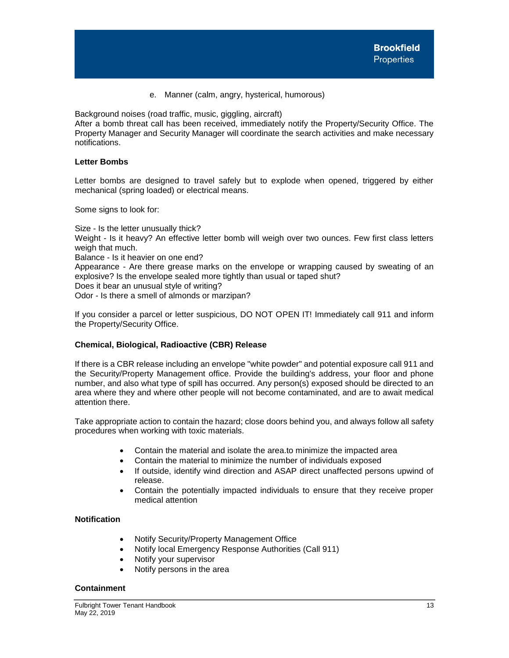e. Manner (calm, angry, hysterical, humorous)

Background noises (road traffic, music, giggling, aircraft)

After a bomb threat call has been received, immediately notify the Property/Security Office. The Property Manager and Security Manager will coordinate the search activities and make necessary notifications.

# **Letter Bombs**

Letter bombs are designed to travel safely but to explode when opened, triggered by either mechanical (spring loaded) or electrical means.

Some signs to look for:

Size - Is the letter unusually thick? Weight - Is it heavy? An effective letter bomb will weigh over two ounces. Few first class letters weigh that much. Balance - Is it heavier on one end? Appearance - Are there grease marks on the envelope or wrapping caused by sweating of an explosive? Is the envelope sealed more tightly than usual or taped shut? Does it bear an unusual style of writing? Odor - Is there a smell of almonds or marzipan?

If you consider a parcel or letter suspicious, DO NOT OPEN IT! Immediately call 911 and inform the Property/Security Office.

# <span id="page-13-0"></span>**Chemical, Biological, Radioactive (CBR) Release**

If there is a CBR release including an envelope "white powder" and potential exposure call 911 and the Security/Property Management office. Provide the building's address, your floor and phone number, and also what type of spill has occurred. Any person(s) exposed should be directed to an area where they and where other people will not become contaminated, and are to await medical attention there.

Take appropriate action to contain the hazard; close doors behind you, and always follow all safety procedures when working with toxic materials.

- Contain the material and isolate the area.to minimize the impacted area
- Contain the material to minimize the number of individuals exposed
- If outside, identify wind direction and ASAP direct unaffected persons upwind of release.
- Contain the potentially impacted individuals to ensure that they receive proper medical attention

# **Notification**

- Notify Security/Property Management Office
- Notify local Emergency Response Authorities (Call 911)
- Notify your supervisor
- Notify persons in the area

# **Containment**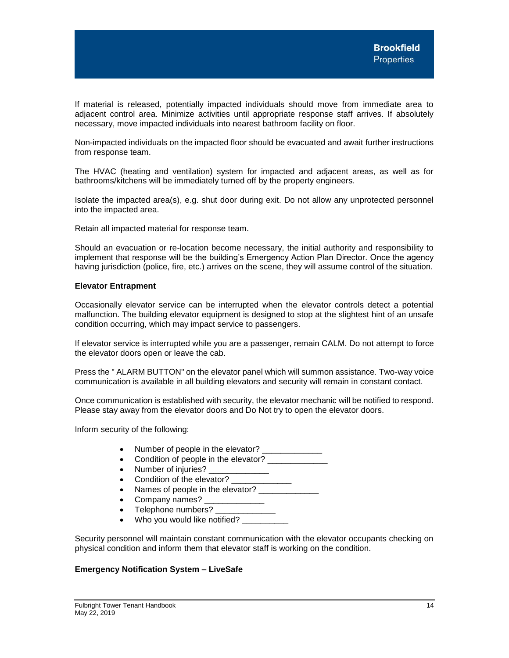If material is released, potentially impacted individuals should move from immediate area to adjacent control area. Minimize activities until appropriate response staff arrives. If absolutely necessary, move impacted individuals into nearest bathroom facility on floor.

Non-impacted individuals on the impacted floor should be evacuated and await further instructions from response team.

The HVAC (heating and ventilation) system for impacted and adjacent areas, as well as for bathrooms/kitchens will be immediately turned off by the property engineers.

Isolate the impacted area(s), e.g. shut door during exit. Do not allow any unprotected personnel into the impacted area.

Retain all impacted material for response team.

Should an evacuation or re-location become necessary, the initial authority and responsibility to implement that response will be the building's Emergency Action Plan Director. Once the agency having jurisdiction (police, fire, etc.) arrives on the scene, they will assume control of the situation.

#### **Elevator Entrapment**

Occasionally elevator service can be interrupted when the elevator controls detect a potential malfunction. The building elevator equipment is designed to stop at the slightest hint of an unsafe condition occurring, which may impact service to passengers.

If elevator service is interrupted while you are a passenger, remain CALM. Do not attempt to force the elevator doors open or leave the cab.

Press the " ALARM BUTTON" on the elevator panel which will summon assistance. Two-way voice communication is available in all building elevators and security will remain in constant contact.

Once communication is established with security, the elevator mechanic will be notified to respond. Please stay away from the elevator doors and Do Not try to open the elevator doors.

Inform security of the following:

- Number of people in the elevator?
- Condition of people in the elevator?
- Number of injuries?
- Condition of the elevator?
- Names of people in the elevator?
- Company names?
- Telephone numbers? \_\_\_\_\_\_\_\_\_\_\_\_\_
- Who you would like notified?

Security personnel will maintain constant communication with the elevator occupants checking on physical condition and inform them that elevator staff is working on the condition.

## <span id="page-14-0"></span>**Emergency Notification System – LiveSafe**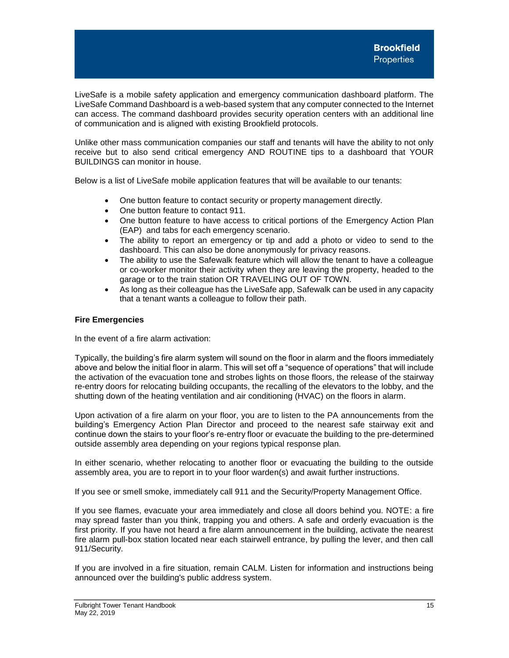LiveSafe is a mobile safety application and emergency communication dashboard platform. The LiveSafe Command Dashboard is a web-based system that any computer connected to the Internet can access. The command dashboard provides security operation centers with an additional line of communication and is aligned with existing Brookfield protocols.

Unlike other mass communication companies our staff and tenants will have the ability to not only receive but to also send critical emergency AND ROUTINE tips to a dashboard that YOUR BUILDINGS can monitor in house.

Below is a list of LiveSafe mobile application features that will be available to our tenants:

- One button feature to contact security or property management directly.
- One button feature to contact 911.
- One button feature to have access to critical portions of the Emergency Action Plan (EAP) and tabs for each emergency scenario.
- The ability to report an emergency or tip and add a photo or video to send to the dashboard. This can also be done anonymously for privacy reasons.
- The ability to use the Safewalk feature which will allow the tenant to have a colleague or co-worker monitor their activity when they are leaving the property, headed to the garage or to the train station OR TRAVELING OUT OF TOWN.
- As long as their colleague has the LiveSafe app, Safewalk can be used in any capacity that a tenant wants a colleague to follow their path.

# <span id="page-15-0"></span>**Fire Emergencies**

In the event of a fire alarm activation:

Typically, the building's fire alarm system will sound on the floor in alarm and the floors immediately above and below the initial floor in alarm. This will set off a "sequence of operations" that will include the activation of the evacuation tone and strobes lights on those floors, the release of the stairway re-entry doors for relocating building occupants, the recalling of the elevators to the lobby, and the shutting down of the heating ventilation and air conditioning (HVAC) on the floors in alarm.

Upon activation of a fire alarm on your floor, you are to listen to the PA announcements from the building's Emergency Action Plan Director and proceed to the nearest safe stairway exit and continue down the stairs to your floor's re-entry floor or evacuate the building to the pre-determined outside assembly area depending on your regions typical response plan.

In either scenario, whether relocating to another floor or evacuating the building to the outside assembly area, you are to report in to your floor warden(s) and await further instructions.

If you see or smell smoke, immediately call 911 and the Security/Property Management Office.

If you see flames, evacuate your area immediately and close all doors behind you. NOTE: a fire may spread faster than you think, trapping you and others. A safe and orderly evacuation is the first priority. If you have not heard a fire alarm announcement in the building, activate the nearest fire alarm pull-box station located near each stairwell entrance, by pulling the lever, and then call 911/Security.

If you are involved in a fire situation, remain CALM. Listen for information and instructions being announced over the building's public address system.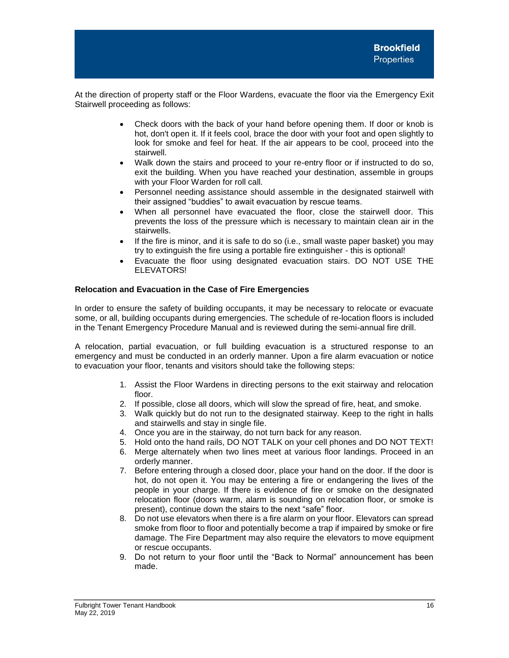At the direction of property staff or the Floor Wardens, evacuate the floor via the Emergency Exit Stairwell proceeding as follows:

- Check doors with the back of your hand before opening them. If door or knob is hot, don't open it. If it feels cool, brace the door with your foot and open slightly to look for smoke and feel for heat. If the air appears to be cool, proceed into the stairwell.
- Walk down the stairs and proceed to your re-entry floor or if instructed to do so, exit the building. When you have reached your destination, assemble in groups with your Floor Warden for roll call.
- Personnel needing assistance should assemble in the designated stairwell with their assigned "buddies" to await evacuation by rescue teams.
- When all personnel have evacuated the floor, close the stairwell door. This prevents the loss of the pressure which is necessary to maintain clean air in the stairwells.
- If the fire is minor, and it is safe to do so (i.e., small waste paper basket) you may try to extinguish the fire using a portable fire extinguisher - this is optional!
- Evacuate the floor using designated evacuation stairs. DO NOT USE THE ELEVATORS!

# **Relocation and Evacuation in the Case of Fire Emergencies**

In order to ensure the safety of building occupants, it may be necessary to relocate or evacuate some, or all, building occupants during emergencies. The schedule of re-location floors is included in the Tenant Emergency Procedure Manual and is reviewed during the semi-annual fire drill.

A relocation, partial evacuation, or full building evacuation is a structured response to an emergency and must be conducted in an orderly manner. Upon a fire alarm evacuation or notice to evacuation your floor, tenants and visitors should take the following steps:

- 1. Assist the Floor Wardens in directing persons to the exit stairway and relocation floor.
- 2. If possible, close all doors, which will slow the spread of fire, heat, and smoke.
- 3. Walk quickly but do not run to the designated stairway. Keep to the right in halls and stairwells and stay in single file.
- 4. Once you are in the stairway, do not turn back for any reason.
- 5. Hold onto the hand rails, DO NOT TALK on your cell phones and DO NOT TEXT!
- 6. Merge alternately when two lines meet at various floor landings. Proceed in an orderly manner.
- 7. Before entering through a closed door, place your hand on the door. If the door is hot, do not open it. You may be entering a fire or endangering the lives of the people in your charge. If there is evidence of fire or smoke on the designated relocation floor (doors warm, alarm is sounding on relocation floor, or smoke is present), continue down the stairs to the next "safe" floor.
- 8. Do not use elevators when there is a fire alarm on your floor. Elevators can spread smoke from floor to floor and potentially become a trap if impaired by smoke or fire damage. The Fire Department may also require the elevators to move equipment or rescue occupants.
- 9. Do not return to your floor until the "Back to Normal" announcement has been made.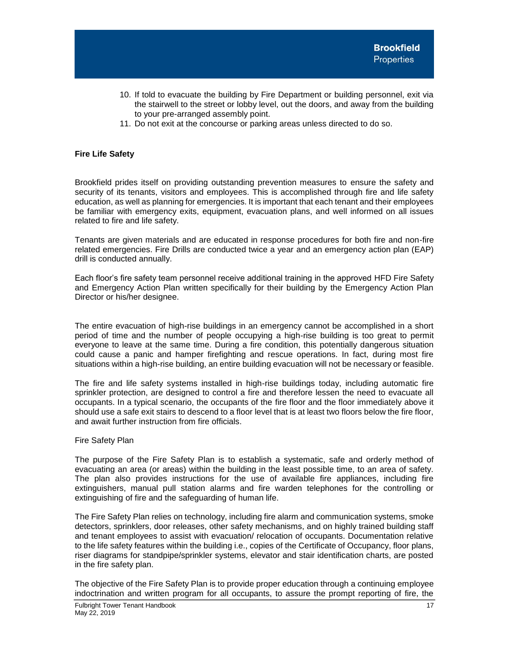- 10. If told to evacuate the building by Fire Department or building personnel, exit via the stairwell to the street or lobby level, out the doors, and away from the building to your pre-arranged assembly point.
- 11. Do not exit at the concourse or parking areas unless directed to do so.

# <span id="page-17-0"></span>**Fire Life Safety**

Brookfield prides itself on providing outstanding prevention measures to ensure the safety and security of its tenants, visitors and employees. This is accomplished through fire and life safety education, as well as planning for emergencies. It is important that each tenant and their employees be familiar with emergency exits, equipment, evacuation plans, and well informed on all issues related to fire and life safety.

Tenants are given materials and are educated in response procedures for both fire and non-fire related emergencies. Fire Drills are conducted twice a year and an emergency action plan (EAP) drill is conducted annually.

Each floor's fire safety team personnel receive additional training in the approved HFD Fire Safety and Emergency Action Plan written specifically for their building by the Emergency Action Plan Director or his/her designee.

The entire evacuation of high-rise buildings in an emergency cannot be accomplished in a short period of time and the number of people occupying a high-rise building is too great to permit everyone to leave at the same time. During a fire condition, this potentially dangerous situation could cause a panic and hamper firefighting and rescue operations. In fact, during most fire situations within a high-rise building, an entire building evacuation will not be necessary or feasible.

The fire and life safety systems installed in high-rise buildings today, including automatic fire sprinkler protection, are designed to control a fire and therefore lessen the need to evacuate all occupants. In a typical scenario, the occupants of the fire floor and the floor immediately above it should use a safe exit stairs to descend to a floor level that is at least two floors below the fire floor, and await further instruction from fire officials.

## Fire Safety Plan

The purpose of the Fire Safety Plan is to establish a systematic, safe and orderly method of evacuating an area (or areas) within the building in the least possible time, to an area of safety. The plan also provides instructions for the use of available fire appliances, including fire extinguishers, manual pull station alarms and fire warden telephones for the controlling or extinguishing of fire and the safeguarding of human life.

The Fire Safety Plan relies on technology, including fire alarm and communication systems, smoke detectors, sprinklers, door releases, other safety mechanisms, and on highly trained building staff and tenant employees to assist with evacuation/ relocation of occupants. Documentation relative to the life safety features within the building i.e., copies of the Certificate of Occupancy, floor plans, riser diagrams for standpipe/sprinkler systems, elevator and stair identification charts, are posted in the fire safety plan.

The objective of the Fire Safety Plan is to provide proper education through a continuing employee indoctrination and written program for all occupants, to assure the prompt reporting of fire, the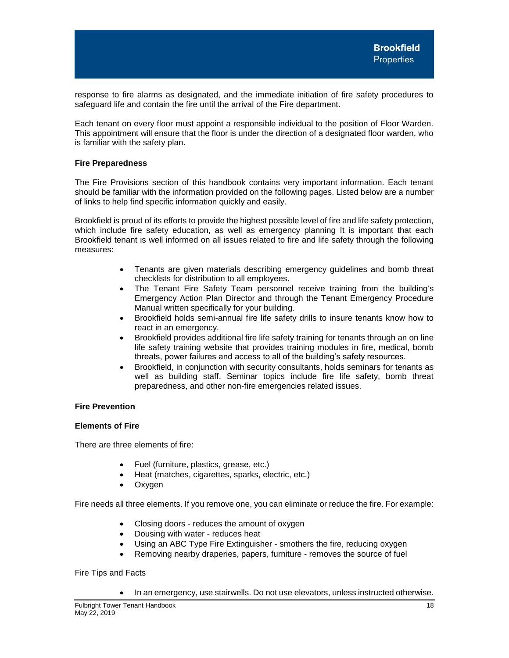response to fire alarms as designated, and the immediate initiation of fire safety procedures to safeguard life and contain the fire until the arrival of the Fire department.

Each tenant on every floor must appoint a responsible individual to the position of Floor Warden. This appointment will ensure that the floor is under the direction of a designated floor warden, who is familiar with the safety plan.

## <span id="page-18-0"></span>**Fire Preparedness**

The Fire Provisions section of this handbook contains very important information. Each tenant should be familiar with the information provided on the following pages. Listed below are a number of links to help find specific information quickly and easily.

Brookfield is proud of its efforts to provide the highest possible level of fire and life safety protection, which include fire safety education, as well as emergency planning It is important that each Brookfield tenant is well informed on all issues related to fire and life safety through the following measures:

- Tenants are given materials describing emergency guidelines and bomb threat checklists for distribution to all employees.
- The Tenant Fire Safety Team personnel receive training from the building's Emergency Action Plan Director and through the Tenant Emergency Procedure Manual written specifically for your building.
- Brookfield holds semi-annual fire life safety drills to insure tenants know how to react in an emergency.
- Brookfield provides additional fire life safety training for tenants through an on line life safety training website that provides training modules in fire, medical, bomb threats, power failures and access to all of the building's safety resources.
- Brookfield, in conjunction with security consultants, holds seminars for tenants as well as building staff. Seminar topics include fire life safety, bomb threat preparedness, and other non-fire emergencies related issues.

# <span id="page-18-1"></span>**Fire Prevention**

## **Elements of Fire**

There are three elements of fire:

- Fuel (furniture, plastics, grease, etc.)
- Heat (matches, cigarettes, sparks, electric, etc.)
- Oxygen

Fire needs all three elements. If you remove one, you can eliminate or reduce the fire. For example:

- Closing doors reduces the amount of oxygen
- Dousing with water reduces heat
- Using an ABC Type Fire Extinguisher smothers the fire, reducing oxygen
- Removing nearby draperies, papers, furniture removes the source of fuel

Fire Tips and Facts

• In an emergency, use stairwells. Do not use elevators, unless instructed otherwise.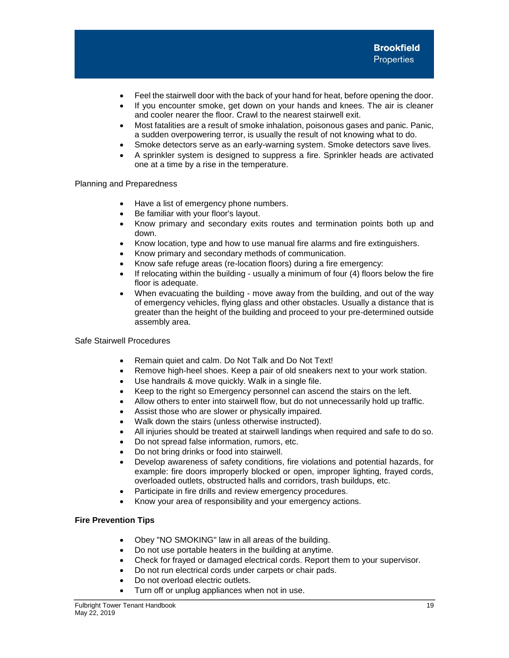- Feel the stairwell door with the back of your hand for heat, before opening the door.
- If you encounter smoke, get down on your hands and knees. The air is cleaner and cooler nearer the floor. Crawl to the nearest stairwell exit.
- Most fatalities are a result of smoke inhalation, poisonous gases and panic. Panic, a sudden overpowering terror, is usually the result of not knowing what to do.
- Smoke detectors serve as an early-warning system. Smoke detectors save lives.
- A sprinkler system is designed to suppress a fire. Sprinkler heads are activated one at a time by a rise in the temperature.

Planning and Preparedness

- Have a list of emergency phone numbers.
- Be familiar with your floor's layout.
- Know primary and secondary exits routes and termination points both up and down.
- Know location, type and how to use manual fire alarms and fire extinguishers.
- Know primary and secondary methods of communication.
- Know safe refuge areas (re-location floors) during a fire emergency:
- If relocating within the building usually a minimum of four (4) floors below the fire floor is adequate.
- When evacuating the building move away from the building, and out of the way of emergency vehicles, flying glass and other obstacles. Usually a distance that is greater than the height of the building and proceed to your pre-determined outside assembly area.

Safe Stairwell Procedures

- Remain quiet and calm. Do Not Talk and Do Not Text!
- Remove high-heel shoes. Keep a pair of old sneakers next to your work station.
- Use handrails & move quickly. Walk in a single file.
- Keep to the right so Emergency personnel can ascend the stairs on the left.
- Allow others to enter into stairwell flow, but do not unnecessarily hold up traffic.
- Assist those who are slower or physically impaired.
- Walk down the stairs (unless otherwise instructed).
- All injuries should be treated at stairwell landings when required and safe to do so.
- Do not spread false information, rumors, etc.
- Do not bring drinks or food into stairwell.
- Develop awareness of safety conditions, fire violations and potential hazards, for example: fire doors improperly blocked or open, improper lighting, frayed cords, overloaded outlets, obstructed halls and corridors, trash buildups, etc.
- Participate in fire drills and review emergency procedures.
- Know your area of responsibility and your emergency actions.

## **Fire Prevention Tips**

- Obey "NO SMOKING" law in all areas of the building.
- Do not use portable heaters in the building at anytime.
- Check for frayed or damaged electrical cords. Report them to your supervisor.
- Do not run electrical cords under carpets or chair pads.
- Do not overload electric outlets.
- Turn off or unplug appliances when not in use.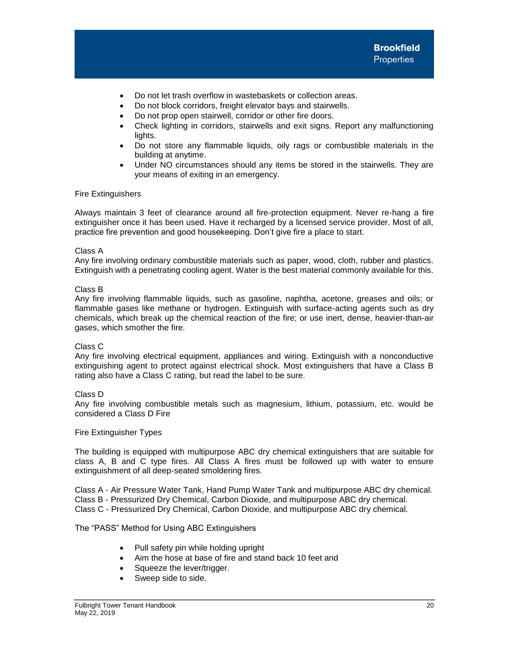- Do not let trash overflow in wastebaskets or collection areas.
- Do not block corridors, freight elevator bays and stairwells.
- Do not prop open stairwell, corridor or other fire doors.
- Check lighting in corridors, stairwells and exit signs. Report any malfunctioning lights.
- Do not store any flammable liquids, oily rags or combustible materials in the building at anytime.
- Under NO circumstances should any items be stored in the stairwells. They are your means of exiting in an emergency.

#### Fire Extinguishers

Always maintain 3 feet of clearance around all fire-protection equipment. Never re-hang a fire extinguisher once it has been used. Have it recharged by a licensed service provider. Most of all, practice fire prevention and good housekeeping. Don't give fire a place to start.

#### Class A

Any fire involving ordinary combustible materials such as paper, wood, cloth, rubber and plastics. Extinguish with a penetrating cooling agent. Water is the best material commonly available for this.

#### Class B

Any fire involving flammable liquids, such as gasoline, naphtha, acetone, greases and oils; or flammable gases like methane or hydrogen. Extinguish with surface-acting agents such as dry chemicals, which break up the chemical reaction of the fire; or use inert, dense, heavier-than-air gases, which smother the fire.

## Class C

Any fire involving electrical equipment, appliances and wiring. Extinguish with a nonconductive extinguishing agent to protect against electrical shock. Most extinguishers that have a Class B rating also have a Class C rating, but read the label to be sure.

## Class D

Any fire involving combustible metals such as magnesium, lithium, potassium, etc. would be considered a Class D Fire

#### Fire Extinguisher Types

The building is equipped with multipurpose ABC dry chemical extinguishers that are suitable for class A, B and C type fires. All Class A fires must be followed up with water to ensure extinguishment of all deep-seated smoldering fires.

Class A - Air Pressure Water Tank, Hand Pump Water Tank and multipurpose ABC dry chemical. Class B - Pressurized Dry Chemical, Carbon Dioxide, and multipurpose ABC dry chemical. Class C - Pressurized Dry Chemical, Carbon Dioxide, and multipurpose ABC dry chemical.

The "PASS" Method for Using ABC Extinguishers

- Pull safety pin while holding upright
- Aim the hose at base of fire and stand back 10 feet and
- Squeeze the lever/trigger.
- Sweep side to side.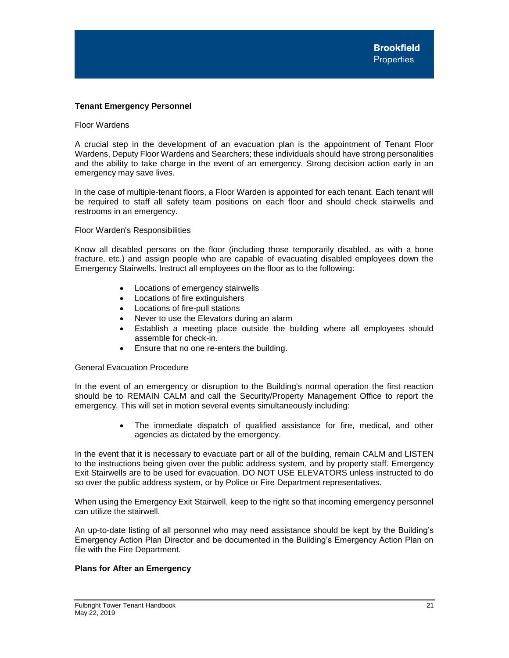## <span id="page-21-0"></span>**Tenant Emergency Personnel**

#### Floor Wardens

A crucial step in the development of an evacuation plan is the appointment of Tenant Floor Wardens, Deputy Floor Wardens and Searchers; these individuals should have strong personalities and the ability to take charge in the event of an emergency. Strong decision action early in an emergency may save lives.

In the case of multiple-tenant floors, a Floor Warden is appointed for each tenant. Each tenant will be required to staff all safety team positions on each floor and should check stairwells and restrooms in an emergency.

## Floor Warden's Responsibilities

Know all disabled persons on the floor (including those temporarily disabled, as with a bone fracture, etc.) and assign people who are capable of evacuating disabled employees down the Emergency Stairwells. Instruct all employees on the floor as to the following:

- Locations of emergency stairwells
- Locations of fire extinguishers
- Locations of fire-pull stations
- Never to use the Elevators during an alarm
- Establish a meeting place outside the building where all employees should assemble for check-in.
- Ensure that no one re-enters the building.

## General Evacuation Procedure

In the event of an emergency or disruption to the Building's normal operation the first reaction should be to REMAIN CALM and call the Security/Property Management Office to report the emergency. This will set in motion several events simultaneously including:

> The immediate dispatch of qualified assistance for fire, medical, and other agencies as dictated by the emergency.

In the event that it is necessary to evacuate part or all of the building, remain CALM and LISTEN to the instructions being given over the public address system, and by property staff. Emergency Exit Stairwells are to be used for evacuation. DO NOT USE ELEVATORS unless instructed to do so over the public address system, or by Police or Fire Department representatives.

When using the Emergency Exit Stairwell, keep to the right so that incoming emergency personnel can utilize the stairwell.

An up-to-date listing of all personnel who may need assistance should be kept by the Building's Emergency Action Plan Director and be documented in the Building's Emergency Action Plan on file with the Fire Department.

## **Plans for After an Emergency**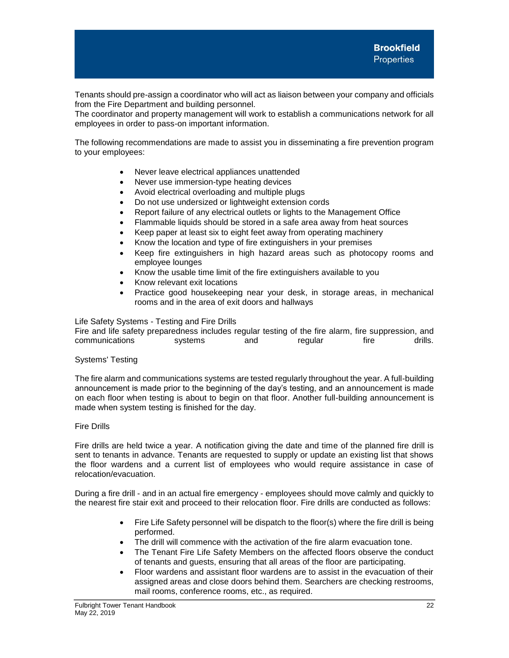Tenants should pre-assign a coordinator who will act as liaison between your company and officials from the Fire Department and building personnel.

The coordinator and property management will work to establish a communications network for all employees in order to pass-on important information.

The following recommendations are made to assist you in disseminating a fire prevention program to your employees:

- Never leave electrical appliances unattended
- Never use immersion-type heating devices
- Avoid electrical overloading and multiple plugs
- Do not use undersized or lightweight extension cords
- Report failure of any electrical outlets or lights to the Management Office
- Flammable liquids should be stored in a safe area away from heat sources
- Keep paper at least six to eight feet away from operating machinery
- Know the location and type of fire extinguishers in your premises
- Keep fire extinguishers in high hazard areas such as photocopy rooms and employee lounges
- Know the usable time limit of the fire extinguishers available to you
- Know relevant exit locations
- Practice good housekeeping near your desk, in storage areas, in mechanical rooms and in the area of exit doors and hallways

## Life Safety Systems - Testing and Fire Drills

Fire and life safety preparedness includes regular testing of the fire alarm, fire suppression, and communications systems and regular fire drills.

## Systems' Testing

The fire alarm and communications systems are tested regularly throughout the year. A full-building announcement is made prior to the beginning of the day's testing, and an announcement is made on each floor when testing is about to begin on that floor. Another full-building announcement is made when system testing is finished for the day.

## Fire Drills

Fire drills are held twice a year. A notification giving the date and time of the planned fire drill is sent to tenants in advance. Tenants are requested to supply or update an existing list that shows the floor wardens and a current list of employees who would require assistance in case of relocation/evacuation.

During a fire drill - and in an actual fire emergency - employees should move calmly and quickly to the nearest fire stair exit and proceed to their relocation floor. Fire drills are conducted as follows:

- Fire Life Safety personnel will be dispatch to the floor(s) where the fire drill is being performed.
- The drill will commence with the activation of the fire alarm evacuation tone.
- The Tenant Fire Life Safety Members on the affected floors observe the conduct of tenants and guests, ensuring that all areas of the floor are participating.
- Floor wardens and assistant floor wardens are to assist in the evacuation of their assigned areas and close doors behind them. Searchers are checking restrooms, mail rooms, conference rooms, etc., as required.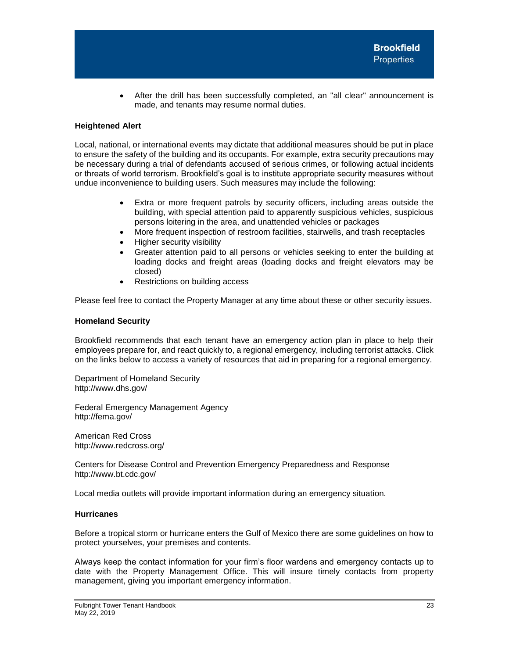After the drill has been successfully completed, an "all clear" announcement is made, and tenants may resume normal duties.

## <span id="page-23-0"></span>**Heightened Alert**

Local, national, or international events may dictate that additional measures should be put in place to ensure the safety of the building and its occupants. For example, extra security precautions may be necessary during a trial of defendants accused of serious crimes, or following actual incidents or threats of world terrorism. Brookfield's goal is to institute appropriate security measures without undue inconvenience to building users. Such measures may include the following:

- Extra or more frequent patrols by security officers, including areas outside the building, with special attention paid to apparently suspicious vehicles, suspicious persons loitering in the area, and unattended vehicles or packages
- More frequent inspection of restroom facilities, stairwells, and trash receptacles
- Higher security visibility
- Greater attention paid to all persons or vehicles seeking to enter the building at loading docks and freight areas (loading docks and freight elevators may be closed)
- Restrictions on building access

Please feel free to contact the Property Manager at any time about these or other security issues.

## <span id="page-23-1"></span>**Homeland Security**

Brookfield recommends that each tenant have an emergency action plan in place to help their employees prepare for, and react quickly to, a regional emergency, including terrorist attacks. Click on the links below to access a variety of resources that aid in preparing for a regional emergency.

Department of Homeland Security http://www.dhs.gov/

Federal Emergency Management Agency http://fema.gov/

American Red Cross http://www.redcross.org/

Centers for Disease Control and Prevention Emergency Preparedness and Response http://www.bt.cdc.gov/

Local media outlets will provide important information during an emergency situation.

## <span id="page-23-2"></span>**Hurricanes**

Before a tropical storm or hurricane enters the Gulf of Mexico there are some guidelines on how to protect yourselves, your premises and contents.

Always keep the contact information for your firm's floor wardens and emergency contacts up to date with the Property Management Office. This will insure timely contacts from property management, giving you important emergency information.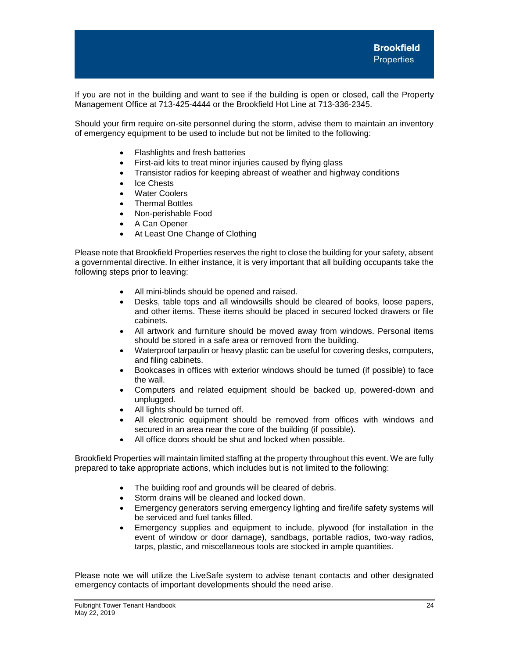If you are not in the building and want to see if the building is open or closed, call the Property Management Office at 713-425-4444 or the Brookfield Hot Line at 713-336-2345.

Should your firm require on-site personnel during the storm, advise them to maintain an inventory of emergency equipment to be used to include but not be limited to the following:

- Flashlights and fresh batteries
- First-aid kits to treat minor injuries caused by flying glass
- Transistor radios for keeping abreast of weather and highway conditions
- Ice Chests
- **Water Coolers**
- Thermal Bottles
- Non-perishable Food
- A Can Opener
- At Least One Change of Clothing

Please note that Brookfield Properties reserves the right to close the building for your safety, absent a governmental directive. In either instance, it is very important that all building occupants take the following steps prior to leaving:

- All mini-blinds should be opened and raised.
- Desks, table tops and all windowsills should be cleared of books, loose papers, and other items. These items should be placed in secured locked drawers or file cabinets.
- All artwork and furniture should be moved away from windows. Personal items should be stored in a safe area or removed from the building.
- Waterproof tarpaulin or heavy plastic can be useful for covering desks, computers, and filing cabinets.
- Bookcases in offices with exterior windows should be turned (if possible) to face the wall.
- Computers and related equipment should be backed up, powered-down and unplugged.
- All lights should be turned off.
- All electronic equipment should be removed from offices with windows and secured in an area near the core of the building (if possible).
- All office doors should be shut and locked when possible.

Brookfield Properties will maintain limited staffing at the property throughout this event. We are fully prepared to take appropriate actions, which includes but is not limited to the following:

- The building roof and grounds will be cleared of debris.
- Storm drains will be cleaned and locked down.
- Emergency generators serving emergency lighting and fire/life safety systems will be serviced and fuel tanks filled.
- Emergency supplies and equipment to include, plywood (for installation in the event of window or door damage), sandbags, portable radios, two-way radios, tarps, plastic, and miscellaneous tools are stocked in ample quantities.

Please note we will utilize the LiveSafe system to advise tenant contacts and other designated emergency contacts of important developments should the need arise.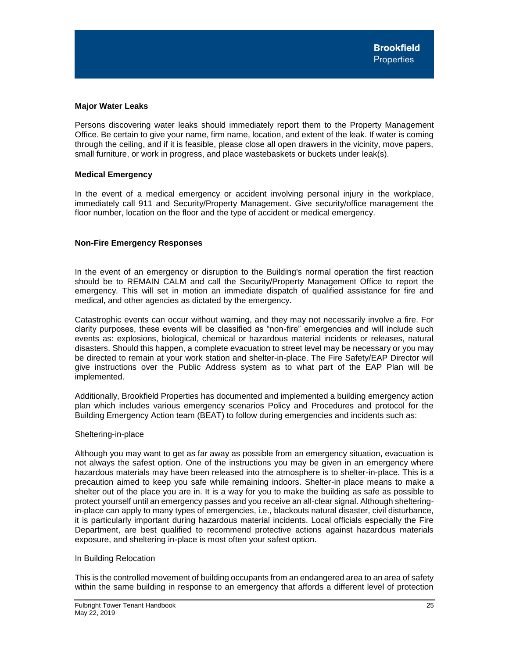## <span id="page-25-0"></span>**Major Water Leaks**

Persons discovering water leaks should immediately report them to the Property Management Office. Be certain to give your name, firm name, location, and extent of the leak. If water is coming through the ceiling, and if it is feasible, please close all open drawers in the vicinity, move papers, small furniture, or work in progress, and place wastebaskets or buckets under leak(s).

# <span id="page-25-1"></span>**Medical Emergency**

In the event of a medical emergency or accident involving personal injury in the workplace, immediately call 911 and Security/Property Management. Give security/office management the floor number, location on the floor and the type of accident or medical emergency.

# <span id="page-25-2"></span>**Non-Fire Emergency Responses**

In the event of an emergency or disruption to the Building's normal operation the first reaction should be to REMAIN CALM and call the Security/Property Management Office to report the emergency. This will set in motion an immediate dispatch of qualified assistance for fire and medical, and other agencies as dictated by the emergency.

Catastrophic events can occur without warning, and they may not necessarily involve a fire. For clarity purposes, these events will be classified as "non-fire" emergencies and will include such events as: explosions, biological, chemical or hazardous material incidents or releases, natural disasters. Should this happen, a complete evacuation to street level may be necessary or you may be directed to remain at your work station and shelter-in-place. The Fire Safety/EAP Director will give instructions over the Public Address system as to what part of the EAP Plan will be implemented.

Additionally, Brookfield Properties has documented and implemented a building emergency action plan which includes various emergency scenarios Policy and Procedures and protocol for the Building Emergency Action team (BEAT) to follow during emergencies and incidents such as:

## Sheltering-in-place

Although you may want to get as far away as possible from an emergency situation, evacuation is not always the safest option. One of the instructions you may be given in an emergency where hazardous materials may have been released into the atmosphere is to shelter-in-place. This is a precaution aimed to keep you safe while remaining indoors. Shelter-in place means to make a shelter out of the place you are in. It is a way for you to make the building as safe as possible to protect yourself until an emergency passes and you receive an all-clear signal. Although shelteringin-place can apply to many types of emergencies, i.e., blackouts natural disaster, civil disturbance, it is particularly important during hazardous material incidents. Local officials especially the Fire Department, are best qualified to recommend protective actions against hazardous materials exposure, and sheltering in-place is most often your safest option.

## In Building Relocation

This is the controlled movement of building occupants from an endangered area to an area of safety within the same building in response to an emergency that affords a different level of protection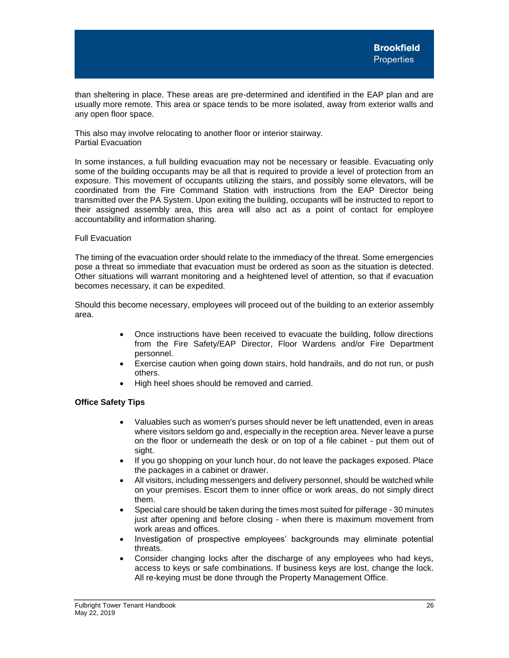than sheltering in place. These areas are pre-determined and identified in the EAP plan and are usually more remote. This area or space tends to be more isolated, away from exterior walls and any open floor space.

This also may involve relocating to another floor or interior stairway. Partial Evacuation

In some instances, a full building evacuation may not be necessary or feasible. Evacuating only some of the building occupants may be all that is required to provide a level of protection from an exposure. This movement of occupants utilizing the stairs, and possibly some elevators, will be coordinated from the Fire Command Station with instructions from the EAP Director being transmitted over the PA System. Upon exiting the building, occupants will be instructed to report to their assigned assembly area, this area will also act as a point of contact for employee accountability and information sharing.

## Full Evacuation

The timing of the evacuation order should relate to the immediacy of the threat. Some emergencies pose a threat so immediate that evacuation must be ordered as soon as the situation is detected. Other situations will warrant monitoring and a heightened level of attention, so that if evacuation becomes necessary, it can be expedited.

Should this become necessary, employees will proceed out of the building to an exterior assembly area.

- Once instructions have been received to evacuate the building, follow directions from the Fire Safety/EAP Director, Floor Wardens and/or Fire Department personnel.
- Exercise caution when going down stairs, hold handrails, and do not run, or push others.
- High heel shoes should be removed and carried.

# **Office Safety Tips**

- Valuables such as women's purses should never be left unattended, even in areas where visitors seldom go and, especially in the reception area. Never leave a purse on the floor or underneath the desk or on top of a file cabinet - put them out of sight.
- If you go shopping on your lunch hour, do not leave the packages exposed. Place the packages in a cabinet or drawer.
- All visitors, including messengers and delivery personnel, should be watched while on your premises. Escort them to inner office or work areas, do not simply direct them.
- Special care should be taken during the times most suited for pilferage 30 minutes just after opening and before closing - when there is maximum movement from work areas and offices.
- Investigation of prospective employees' backgrounds may eliminate potential threats.
- Consider changing locks after the discharge of any employees who had keys, access to keys or safe combinations. If business keys are lost, change the lock. All re-keying must be done through the Property Management Office.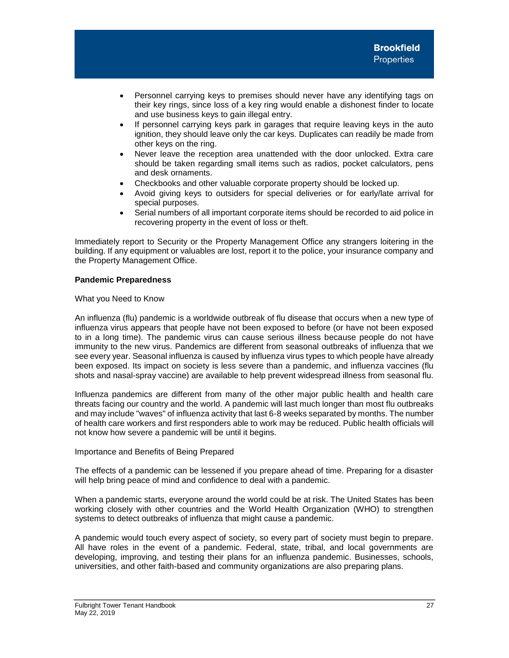- Personnel carrying keys to premises should never have any identifying tags on their key rings, since loss of a key ring would enable a dishonest finder to locate and use business keys to gain illegal entry.
- If personnel carrying keys park in garages that require leaving keys in the auto ignition, they should leave only the car keys. Duplicates can readily be made from other keys on the ring.
- Never leave the reception area unattended with the door unlocked. Extra care should be taken regarding small items such as radios, pocket calculators, pens and desk ornaments.
- Checkbooks and other valuable corporate property should be locked up.
- Avoid giving keys to outsiders for special deliveries or for early/late arrival for special purposes.
- Serial numbers of all important corporate items should be recorded to aid police in recovering property in the event of loss or theft.

Immediately report to Security or the Property Management Office any strangers loitering in the building. If any equipment or valuables are lost, report it to the police, your insurance company and the Property Management Office.

# **Pandemic Preparedness**

# What you Need to Know

An influenza (flu) pandemic is a worldwide outbreak of flu disease that occurs when a new type of influenza virus appears that people have not been exposed to before (or have not been exposed to in a long time). The pandemic virus can cause serious illness because people do not have immunity to the new virus. Pandemics are different from seasonal outbreaks of influenza that we see every year. Seasonal influenza is caused by influenza virus types to which people have already been exposed. Its impact on society is less severe than a pandemic, and influenza vaccines (flu shots and nasal-spray vaccine) are available to help prevent widespread illness from seasonal flu.

Influenza pandemics are different from many of the other major public health and health care threats facing our country and the world. A pandemic will last much longer than most flu outbreaks and may include "waves" of influenza activity that last 6-8 weeks separated by months. The number of health care workers and first responders able to work may be reduced. Public health officials will not know how severe a pandemic will be until it begins.

## Importance and Benefits of Being Prepared

The effects of a pandemic can be lessened if you prepare ahead of time. Preparing for a disaster will help bring peace of mind and confidence to deal with a pandemic.

When a pandemic starts, everyone around the world could be at risk. The United States has been working closely with other countries and the World Health Organization (WHO) to strengthen systems to detect outbreaks of influenza that might cause a pandemic.

A pandemic would touch every aspect of society, so every part of society must begin to prepare. All have roles in the event of a pandemic. Federal, state, tribal, and local governments are developing, improving, and testing their plans for an influenza pandemic. Businesses, schools, universities, and other faith-based and community organizations are also preparing plans.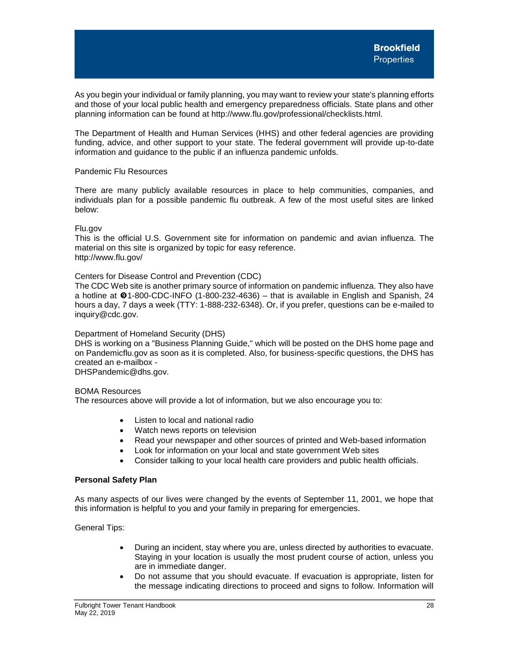As you begin your individual or family planning, you may want to review your state's planning efforts and those of your local public health and emergency preparedness officials. State plans and other planning information can be found at http://www.flu.gov/professional/checklists.html.

The Department of Health and Human Services (HHS) and other federal agencies are providing funding, advice, and other support to your state. The federal government will provide up-to-date information and guidance to the public if an influenza pandemic unfolds.

## Pandemic Flu Resources

There are many publicly available resources in place to help communities, companies, and individuals plan for a possible pandemic flu outbreak. A few of the most useful sites are linked below:

## Flu.gov

This is the official U.S. Government site for information on pandemic and avian influenza. The material on this site is organized by topic for easy reference. http://www.flu.gov/

# Centers for Disease Control and Prevention (CDC)

The CDC Web site is another primary source of information on pandemic influenza. They also have a hotline at  $\Theta$ 1-800-CDC-INFO (1-800-232-4636) – that is available in English and Spanish, 24 hours a day, 7 days a week (TTY: 1-888-232-6348). Or, if you prefer, questions can be e-mailed to inquiry@cdc.gov.

## Department of Homeland Security (DHS)

DHS is working on a "Business Planning Guide," which will be posted on the DHS home page and on Pandemicflu.gov as soon as it is completed. Also, for business-specific questions, the DHS has created an e-mailbox -

DHSPandemic@dhs.gov.

## BOMA Resources

The resources above will provide a lot of information, but we also encourage you to:

- Listen to local and national radio
- Watch news reports on television
- Read your newspaper and other sources of printed and Web-based information
- Look for information on your local and state government Web sites
- Consider talking to your local health care providers and public health officials.

## **Personal Safety Plan**

As many aspects of our lives were changed by the events of September 11, 2001, we hope that this information is helpful to you and your family in preparing for emergencies.

General Tips:

- During an incident, stay where you are, unless directed by authorities to evacuate. Staying in your location is usually the most prudent course of action, unless you are in immediate danger.
- Do not assume that you should evacuate. If evacuation is appropriate, listen for the message indicating directions to proceed and signs to follow. Information will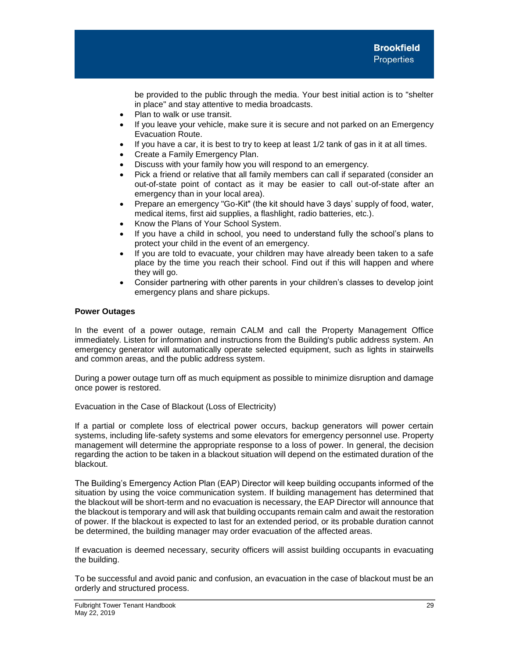be provided to the public through the media. Your best initial action is to "shelter in place" and stay attentive to media broadcasts.

- Plan to walk or use transit.
- If you leave your vehicle, make sure it is secure and not parked on an Emergency Evacuation Route.
- If you have a car, it is best to try to keep at least  $1/2$  tank of gas in it at all times.
- Create a Family Emergency Plan.
- Discuss with your family how you will respond to an emergency.
- Pick a friend or relative that all family members can call if separated (consider an out-of-state point of contact as it may be easier to call out-of-state after an emergency than in your local area).
- Prepare an emergency "Go-Kit" (the kit should have 3 days' supply of food, water, medical items, first aid supplies, a flashlight, radio batteries, etc.).
- Know the Plans of Your School System.
- If you have a child in school, you need to understand fully the school's plans to protect your child in the event of an emergency.
- If you are told to evacuate, your children may have already been taken to a safe place by the time you reach their school. Find out if this will happen and where they will go.
- Consider partnering with other parents in your children's classes to develop joint emergency plans and share pickups.

# **Power Outages**

In the event of a power outage, remain CALM and call the Property Management Office immediately. Listen for information and instructions from the Building's public address system. An emergency generator will automatically operate selected equipment, such as lights in stairwells and common areas, and the public address system.

During a power outage turn off as much equipment as possible to minimize disruption and damage once power is restored.

Evacuation in the Case of Blackout (Loss of Electricity)

If a partial or complete loss of electrical power occurs, backup generators will power certain systems, including life-safety systems and some elevators for emergency personnel use. Property management will determine the appropriate response to a loss of power. In general, the decision regarding the action to be taken in a blackout situation will depend on the estimated duration of the blackout.

The Building's Emergency Action Plan (EAP) Director will keep building occupants informed of the situation by using the voice communication system. If building management has determined that the blackout will be short-term and no evacuation is necessary, the EAP Director will announce that the blackout is temporary and will ask that building occupants remain calm and await the restoration of power. If the blackout is expected to last for an extended period, or its probable duration cannot be determined, the building manager may order evacuation of the affected areas.

If evacuation is deemed necessary, security officers will assist building occupants in evacuating the building.

To be successful and avoid panic and confusion, an evacuation in the case of blackout must be an orderly and structured process.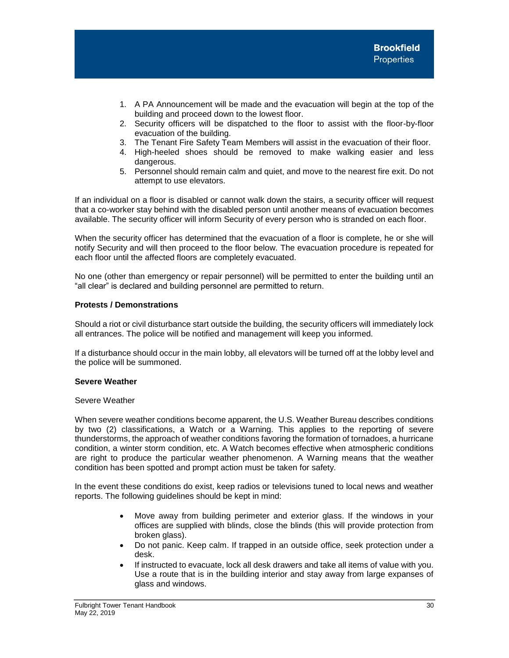- 1. A PA Announcement will be made and the evacuation will begin at the top of the building and proceed down to the lowest floor.
- 2. Security officers will be dispatched to the floor to assist with the floor-by-floor evacuation of the building.
- 3. The Tenant Fire Safety Team Members will assist in the evacuation of their floor.
- 4. High-heeled shoes should be removed to make walking easier and less dangerous.
- 5. Personnel should remain calm and quiet, and move to the nearest fire exit. Do not attempt to use elevators.

If an individual on a floor is disabled or cannot walk down the stairs, a security officer will request that a co-worker stay behind with the disabled person until another means of evacuation becomes available. The security officer will inform Security of every person who is stranded on each floor.

When the security officer has determined that the evacuation of a floor is complete, he or she will notify Security and will then proceed to the floor below. The evacuation procedure is repeated for each floor until the affected floors are completely evacuated.

No one (other than emergency or repair personnel) will be permitted to enter the building until an "all clear" is declared and building personnel are permitted to return.

# **Protests / Demonstrations**

Should a riot or civil disturbance start outside the building, the security officers will immediately lock all entrances. The police will be notified and management will keep you informed.

If a disturbance should occur in the main lobby, all elevators will be turned off at the lobby level and the police will be summoned.

## **Severe Weather**

## Severe Weather

When severe weather conditions become apparent, the U.S. Weather Bureau describes conditions by two (2) classifications, a Watch or a Warning. This applies to the reporting of severe thunderstorms, the approach of weather conditions favoring the formation of tornadoes, a hurricane condition, a winter storm condition, etc. A Watch becomes effective when atmospheric conditions are right to produce the particular weather phenomenon. A Warning means that the weather condition has been spotted and prompt action must be taken for safety.

In the event these conditions do exist, keep radios or televisions tuned to local news and weather reports. The following guidelines should be kept in mind:

- Move away from building perimeter and exterior glass. If the windows in your offices are supplied with blinds, close the blinds (this will provide protection from broken glass).
- Do not panic. Keep calm. If trapped in an outside office, seek protection under a desk.
- If instructed to evacuate, lock all desk drawers and take all items of value with you. Use a route that is in the building interior and stay away from large expanses of glass and windows.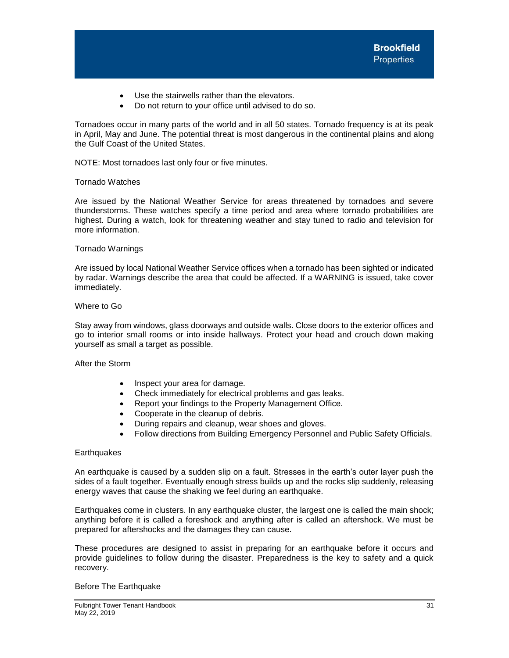- Use the stairwells rather than the elevators.
- Do not return to your office until advised to do so.

Tornadoes occur in many parts of the world and in all 50 states. Tornado frequency is at its peak in April, May and June. The potential threat is most dangerous in the continental plains and along the Gulf Coast of the United States.

NOTE: Most tornadoes last only four or five minutes.

#### Tornado Watches

Are issued by the National Weather Service for areas threatened by tornadoes and severe thunderstorms. These watches specify a time period and area where tornado probabilities are highest. During a watch, look for threatening weather and stay tuned to radio and television for more information.

#### Tornado Warnings

Are issued by local National Weather Service offices when a tornado has been sighted or indicated by radar. Warnings describe the area that could be affected. If a WARNING is issued, take cover immediately.

# Where to Go

Stay away from windows, glass doorways and outside walls. Close doors to the exterior offices and go to interior small rooms or into inside hallways. Protect your head and crouch down making yourself as small a target as possible.

After the Storm

- Inspect your area for damage.
- Check immediately for electrical problems and gas leaks.
- Report your findings to the Property Management Office.
- Cooperate in the cleanup of debris.
- During repairs and cleanup, wear shoes and gloves.
- Follow directions from Building Emergency Personnel and Public Safety Officials.

## **Earthquakes**

An earthquake is caused by a sudden slip on a fault. Stresses in the earth's outer layer push the sides of a fault together. Eventually enough stress builds up and the rocks slip suddenly, releasing energy waves that cause the shaking we feel during an earthquake.

Earthquakes come in clusters. In any earthquake cluster, the largest one is called the main shock; anything before it is called a foreshock and anything after is called an aftershock. We must be prepared for aftershocks and the damages they can cause.

These procedures are designed to assist in preparing for an earthquake before it occurs and provide guidelines to follow during the disaster. Preparedness is the key to safety and a quick recovery.

## Before The Earthquake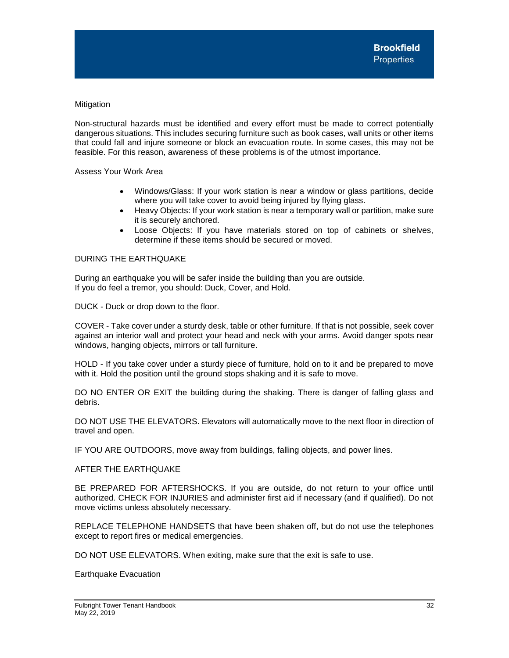# Mitigation

Non-structural hazards must be identified and every effort must be made to correct potentially dangerous situations. This includes securing furniture such as book cases, wall units or other items that could fall and injure someone or block an evacuation route. In some cases, this may not be feasible. For this reason, awareness of these problems is of the utmost importance.

Assess Your Work Area

- Windows/Glass: If your work station is near a window or glass partitions, decide where you will take cover to avoid being injured by flying glass.
- Heavy Objects: If your work station is near a temporary wall or partition, make sure it is securely anchored.
- Loose Objects: If you have materials stored on top of cabinets or shelves, determine if these items should be secured or moved.

# DURING THE EARTHQUAKE

During an earthquake you will be safer inside the building than you are outside. If you do feel a tremor, you should: Duck, Cover, and Hold.

DUCK - Duck or drop down to the floor.

COVER - Take cover under a sturdy desk, table or other furniture. If that is not possible, seek cover against an interior wall and protect your head and neck with your arms. Avoid danger spots near windows, hanging objects, mirrors or tall furniture.

HOLD - If you take cover under a sturdy piece of furniture, hold on to it and be prepared to move with it. Hold the position until the ground stops shaking and it is safe to move.

DO NO ENTER OR EXIT the building during the shaking. There is danger of falling glass and debris.

DO NOT USE THE ELEVATORS. Elevators will automatically move to the next floor in direction of travel and open.

IF YOU ARE OUTDOORS, move away from buildings, falling objects, and power lines.

AFTER THE EARTHQUAKE

BE PREPARED FOR AFTERSHOCKS. If you are outside, do not return to your office until authorized. CHECK FOR INJURIES and administer first aid if necessary (and if qualified). Do not move victims unless absolutely necessary.

REPLACE TELEPHONE HANDSETS that have been shaken off, but do not use the telephones except to report fires or medical emergencies.

DO NOT USE ELEVATORS. When exiting, make sure that the exit is safe to use.

Earthquake Evacuation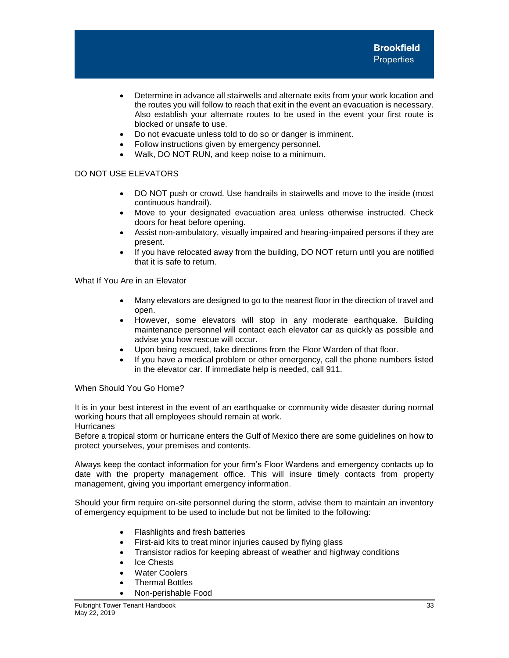- Determine in advance all stairwells and alternate exits from your work location and the routes you will follow to reach that exit in the event an evacuation is necessary. Also establish your alternate routes to be used in the event your first route is blocked or unsafe to use.
- Do not evacuate unless told to do so or danger is imminent.
- Follow instructions given by emergency personnel.
- Walk, DO NOT RUN, and keep noise to a minimum.

# DO NOT USE ELEVATORS

- DO NOT push or crowd. Use handrails in stairwells and move to the inside (most continuous handrail).
- Move to your designated evacuation area unless otherwise instructed. Check doors for heat before opening.
- Assist non-ambulatory, visually impaired and hearing-impaired persons if they are present.
- If you have relocated away from the building, DO NOT return until you are notified that it is safe to return.

What If You Are in an Elevator

- Many elevators are designed to go to the nearest floor in the direction of travel and open.
- However, some elevators will stop in any moderate earthquake. Building maintenance personnel will contact each elevator car as quickly as possible and advise you how rescue will occur.
- Upon being rescued, take directions from the Floor Warden of that floor.
- If you have a medical problem or other emergency, call the phone numbers listed in the elevator car. If immediate help is needed, call 911.

When Should You Go Home?

It is in your best interest in the event of an earthquake or community wide disaster during normal working hours that all employees should remain at work. **Hurricanes** 

Before a tropical storm or hurricane enters the Gulf of Mexico there are some guidelines on how to protect yourselves, your premises and contents.

Always keep the contact information for your firm's Floor Wardens and emergency contacts up to date with the property management office. This will insure timely contacts from property management, giving you important emergency information.

Should your firm require on-site personnel during the storm, advise them to maintain an inventory of emergency equipment to be used to include but not be limited to the following:

- Flashlights and fresh batteries
- First-aid kits to treat minor injuries caused by flying glass
- Transistor radios for keeping abreast of weather and highway conditions
- Ice Chests
- **Water Coolers**
- **Thermal Bottles**
- Non-perishable Food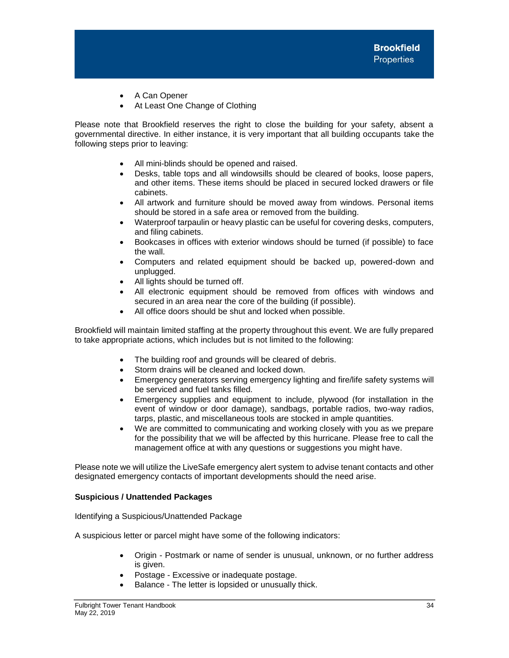- A Can Opener
- At Least One Change of Clothing

Please note that Brookfield reserves the right to close the building for your safety, absent a governmental directive. In either instance, it is very important that all building occupants take the following steps prior to leaving:

- All mini-blinds should be opened and raised.
- Desks, table tops and all windowsills should be cleared of books, loose papers, and other items. These items should be placed in secured locked drawers or file cabinets.
- All artwork and furniture should be moved away from windows. Personal items should be stored in a safe area or removed from the building.
- Waterproof tarpaulin or heavy plastic can be useful for covering desks, computers, and filing cabinets.
- Bookcases in offices with exterior windows should be turned (if possible) to face the wall.
- Computers and related equipment should be backed up, powered-down and unplugged.
- All lights should be turned off.
- All electronic equipment should be removed from offices with windows and secured in an area near the core of the building (if possible).
- All office doors should be shut and locked when possible.

Brookfield will maintain limited staffing at the property throughout this event. We are fully prepared to take appropriate actions, which includes but is not limited to the following:

- The building roof and grounds will be cleared of debris.
- Storm drains will be cleaned and locked down.
- Emergency generators serving emergency lighting and fire/life safety systems will be serviced and fuel tanks filled.
- Emergency supplies and equipment to include, plywood (for installation in the event of window or door damage), sandbags, portable radios, two-way radios, tarps, plastic, and miscellaneous tools are stocked in ample quantities.
- We are committed to communicating and working closely with you as we prepare for the possibility that we will be affected by this hurricane. Please free to call the management office at with any questions or suggestions you might have.

Please note we will utilize the LiveSafe emergency alert system to advise tenant contacts and other designated emergency contacts of important developments should the need arise.

## <span id="page-34-0"></span>**Suspicious / Unattended Packages**

Identifying a Suspicious/Unattended Package

A suspicious letter or parcel might have some of the following indicators:

- Origin Postmark or name of sender is unusual, unknown, or no further address is given.
- Postage Excessive or inadequate postage.
- Balance The letter is lopsided or unusually thick.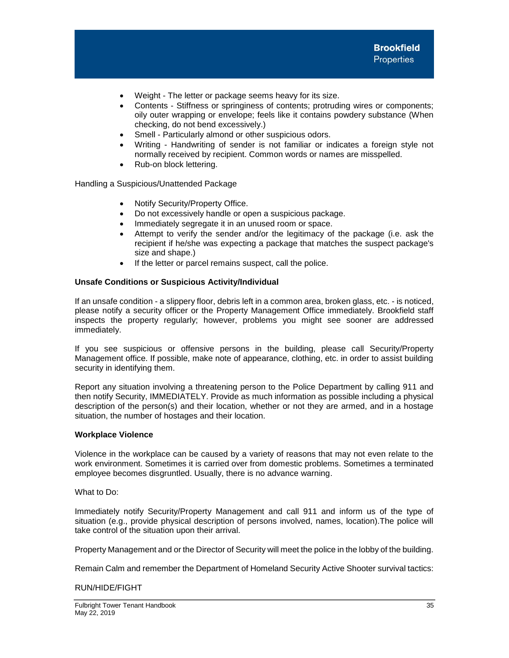- Weight The letter or package seems heavy for its size.
- Contents Stiffness or springiness of contents; protruding wires or components; oily outer wrapping or envelope; feels like it contains powdery substance (When checking, do not bend excessively.)
- Smell Particularly almond or other suspicious odors.
- Writing Handwriting of sender is not familiar or indicates a foreign style not normally received by recipient. Common words or names are misspelled.
- Rub-on block lettering.

Handling a Suspicious/Unattended Package

- Notify Security/Property Office.
- Do not excessively handle or open a suspicious package.
- Immediately segregate it in an unused room or space.
- Attempt to verify the sender and/or the legitimacy of the package (i.e. ask the recipient if he/she was expecting a package that matches the suspect package's size and shape.)
- If the letter or parcel remains suspect, call the police.

## **Unsafe Conditions or Suspicious Activity/Individual**

If an unsafe condition - a slippery floor, debris left in a common area, broken glass, etc. - is noticed, please notify a security officer or the Property Management Office immediately. Brookfield staff inspects the property regularly; however, problems you might see sooner are addressed immediately.

If you see suspicious or offensive persons in the building, please call Security/Property Management office. If possible, make note of appearance, clothing, etc. in order to assist building security in identifying them.

Report any situation involving a threatening person to the Police Department by calling 911 and then notify Security, IMMEDIATELY. Provide as much information as possible including a physical description of the person(s) and their location, whether or not they are armed, and in a hostage situation, the number of hostages and their location.

## **Workplace Violence**

Violence in the workplace can be caused by a variety of reasons that may not even relate to the work environment. Sometimes it is carried over from domestic problems. Sometimes a terminated employee becomes disgruntled. Usually, there is no advance warning.

What to Do:

Immediately notify Security/Property Management and call 911 and inform us of the type of situation (e.g., provide physical description of persons involved, names, location).The police will take control of the situation upon their arrival.

Property Management and or the Director of Security will meet the police in the lobby of the building.

Remain Calm and remember the Department of Homeland Security Active Shooter survival tactics:

## RUN/HIDE/FIGHT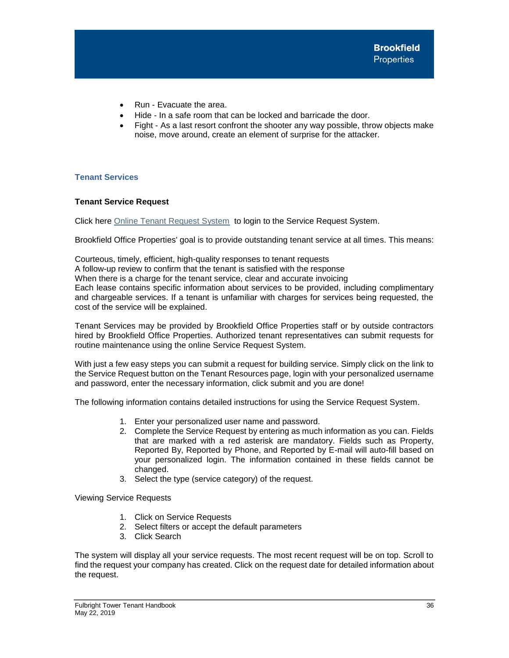- Run Evacuate the area.
- Hide In a safe room that can be locked and barricade the door.
- Fight As a last resort confront the shooter any way possible, throw objects make noise, move around, create an element of surprise for the attacker.

# <span id="page-36-0"></span>**Tenant Services**

# <span id="page-36-1"></span>**Tenant Service Request**

Click here [Online Tenant Request System](http://www.ng1.angusanywhere.com/Tenant/Trizec/Brookfield/Default.aspx) to login to the Service Request System.

Brookfield Office Properties' goal is to provide outstanding tenant service at all times. This means:

Courteous, timely, efficient, high-quality responses to tenant requests A follow-up review to confirm that the tenant is satisfied with the response When there is a charge for the tenant service, clear and accurate invoicing Each lease contains specific information about services to be provided, including complimentary and chargeable services. If a tenant is unfamiliar with charges for services being requested, the cost of the service will be explained.

Tenant Services may be provided by Brookfield Office Properties staff or by outside contractors hired by Brookfield Office Properties. Authorized tenant representatives can submit requests for routine maintenance using the online Service Request System.

With just a few easy steps you can submit a request for building service. Simply click on the link to the Service Request button on the Tenant Resources page, login with your personalized username and password, enter the necessary information, click submit and you are done!

The following information contains detailed instructions for using the Service Request System.

- 1. Enter your personalized user name and password.
- 2. Complete the Service Request by entering as much information as you can. Fields that are marked with a red asterisk are mandatory. Fields such as Property, Reported By, Reported by Phone, and Reported by E-mail will auto-fill based on your personalized login. The information contained in these fields cannot be changed.
- 3. Select the type (service category) of the request.

Viewing Service Requests

- 1. Click on Service Requests
- 2. Select filters or accept the default parameters
- 3. Click Search

The system will display all your service requests. The most recent request will be on top. Scroll to find the request your company has created. Click on the request date for detailed information about the request.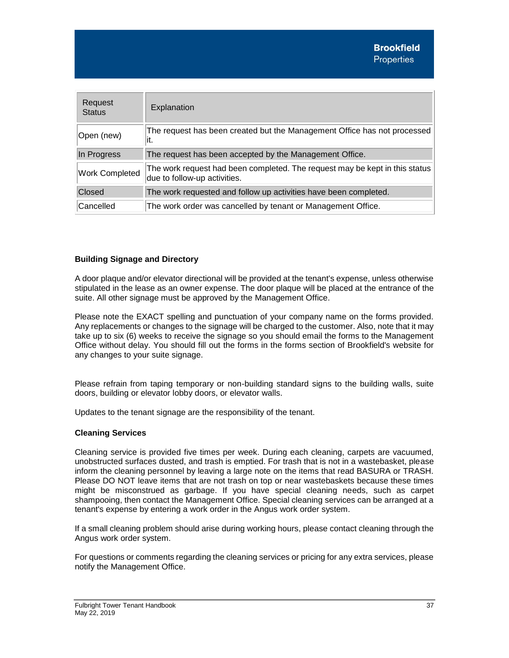| Request<br><b>Status</b> | Explanation                                                                                                 |
|--------------------------|-------------------------------------------------------------------------------------------------------------|
| Open (new)               | The request has been created but the Management Office has not processed<br>it.                             |
| In Progress              | The request has been accepted by the Management Office.                                                     |
| <b>Work Completed</b>    | The work request had been completed. The request may be kept in this status<br>due to follow-up activities. |
| Closed                   | The work requested and follow up activities have been completed.                                            |
| Cancelled                | The work order was cancelled by tenant or Management Office.                                                |

# <span id="page-37-0"></span>**Building Signage and Directory**

A door plaque and/or elevator directional will be provided at the tenant's expense, unless otherwise stipulated in the lease as an owner expense. The door plaque will be placed at the entrance of the suite. All other signage must be approved by the [Management Office.](http://oneallencenter.info/main.cfm?sid=operations&pid=pmoffice)

Please note the EXACT spelling and punctuation of your company name on the forms provided. Any replacements or changes to the signage will be charged to the customer. Also, note that it may take up to six (6) weeks to receive the signage so you should email the forms to the Management Office without delay. You should fill out the forms in the forms section of Brookfield's website for any changes to your suite signage.

Please refrain from taping temporary or non-building standard signs to the building walls, suite doors, building or elevator lobby doors, or elevator walls.

Updates to the tenant signage are the responsibility of the tenant.

# <span id="page-37-1"></span>**Cleaning Services**

Cleaning service is provided five times per week. During each cleaning, carpets are vacuumed, unobstructed surfaces dusted, and trash is emptied. For trash that is not in a wastebasket, please inform the cleaning personnel by leaving a large note on the items that read BASURA or TRASH. Please DO NOT leave items that are not trash on top or near wastebaskets because these times might be misconstrued as garbage. If you have special cleaning needs, such as carpet shampooing, then contact the Management Office. Special cleaning services can be arranged at a tenant's expense by entering a work order in the Angus work order system.

If a small cleaning problem should arise during working hours, please contact cleaning through the Angus work order system.

For questions or comments regarding the cleaning services or pricing for any extra services, please notify the Management Office.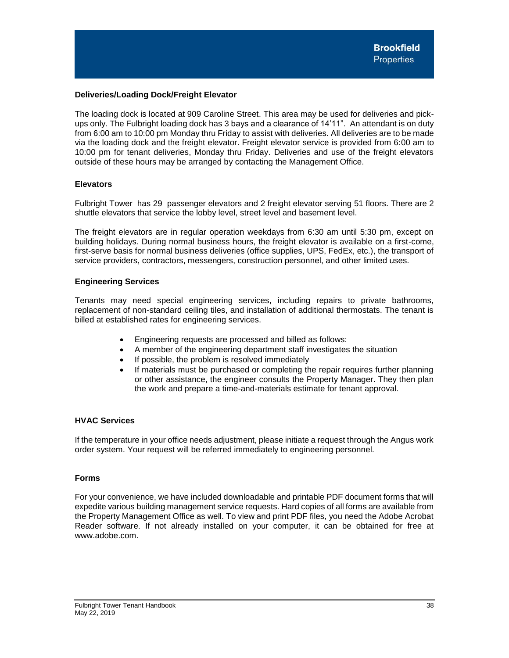# <span id="page-38-0"></span>**Deliveries/Loading Dock/Freight Elevator**

The loading dock is located at 909 Caroline Street. This area may be used for deliveries and pickups only. The Fulbright loading dock has 3 bays and a clearance of 14'11". An attendant is on duty from 6:00 am to 10:00 pm Monday thru Friday to assist with deliveries. All deliveries are to be made via the loading dock and the freight elevator. Freight elevator service is provided from 6:00 am to 10:00 pm for tenant deliveries, Monday thru Friday. Deliveries and use of the freight elevators outside of these hours may be arranged by contacting the Management Office.

# <span id="page-38-1"></span>**Elevators**

Fulbright Tower has 29 passenger elevators and 2 freight elevator serving 51 floors. There are 2 shuttle elevators that service the lobby level, street level and basement level.

The freight elevators are in regular operation weekdays from 6:30 am until 5:30 pm, except on building holidays. During normal business hours, the freight elevator is available on a first-come, first-serve basis for normal business deliveries (office supplies, UPS, FedEx, etc.), the transport of service providers, contractors, messengers, construction personnel, and other limited uses.

## <span id="page-38-2"></span>**Engineering Services**

Tenants may need special engineering services, including repairs to private bathrooms, replacement of non-standard ceiling tiles, and installation of additional thermostats. The tenant is billed at established rates for engineering services.

- Engineering requests are processed and billed as follows:
- A member of the engineering department staff investigates the situation
- If possible, the problem is resolved immediately
- If materials must be purchased or completing the repair requires further planning or other assistance, the engineer consults the Property Manager. They then plan the work and prepare a time-and-materials estimate for tenant approval.

# <span id="page-38-3"></span>**HVAC Services**

If the temperature in your office needs adjustment, please initiate a request through the Angus work order system. Your request will be referred immediately to engineering personnel.

## **Forms**

For your convenience, we have included downloadable and printable PDF document forms that will expedite various building management service requests. Hard copies of all forms are available from the Property Management Office as well. To view and print PDF files, you need the Adobe Acrobat Reader software. If not already installed on your computer, it can be obtained for free at www.adobe.com.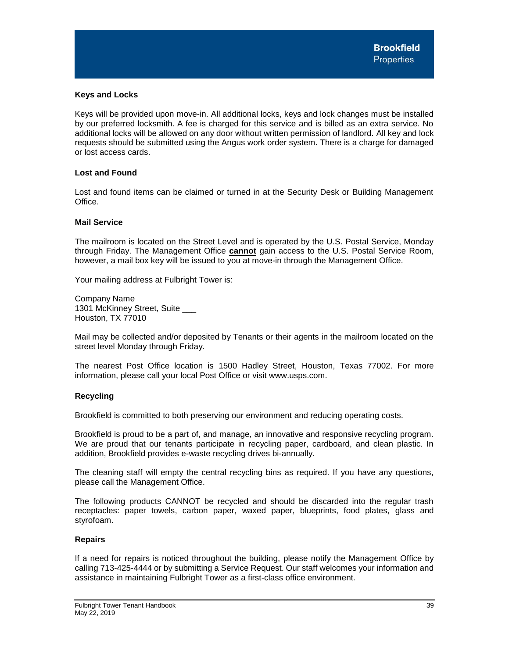## <span id="page-39-0"></span>**Keys and Locks**

Keys will be provided upon move-in. All additional locks, keys and lock changes must be installed by our preferred locksmith. A fee is charged for this service and is billed as an extra service. No additional locks will be allowed on any door without written permission of landlord. All key and lock requests should be submitted using the Angus work order system. There is a charge for damaged or lost access cards.

# <span id="page-39-1"></span>**Lost and Found**

Lost and found items can be claimed or turned in at the Security Desk or Building Management Office.

## <span id="page-39-2"></span>**Mail Service**

The mailroom is located on the Street Level and is operated by the U.S. Postal Service, Monday through Friday. The Management Office **cannot** gain access to the U.S. Postal Service Room, however, a mail box key will be issued to you at move-in through the Management Office.

Your mailing address at Fulbright Tower is:

Company Name 1301 McKinney Street, Suite \_\_\_ Houston, TX 77010

Mail may be collected and/or deposited by Tenants or their agents in the mailroom located on the street level Monday through Friday.

The nearest Post Office location is 1500 Hadley Street, Houston, Texas 77002. For more information, please call your local Post Office or visit www.usps.com.

## <span id="page-39-3"></span>**Recycling**

Brookfield is committed to both preserving our environment and reducing operating costs.

Brookfield is proud to be a part of, and manage, an innovative and responsive recycling program. We are proud that our tenants participate in recycling paper, cardboard, and clean plastic. In addition, Brookfield provides e-waste recycling drives bi-annually.

The cleaning staff will empty the central recycling bins as required. If you have any questions, please call the Management Office.

The following products CANNOT be recycled and should be discarded into the regular trash receptacles: paper towels, carbon paper, waxed paper, blueprints, food plates, glass and styrofoam.

## **Repairs**

If a need for repairs is noticed throughout the building, please notify the Management Office by calling 713-425-4444 or by submitting a Service Request. Our staff welcomes your information and assistance in maintaining Fulbright Tower as a first-class office environment.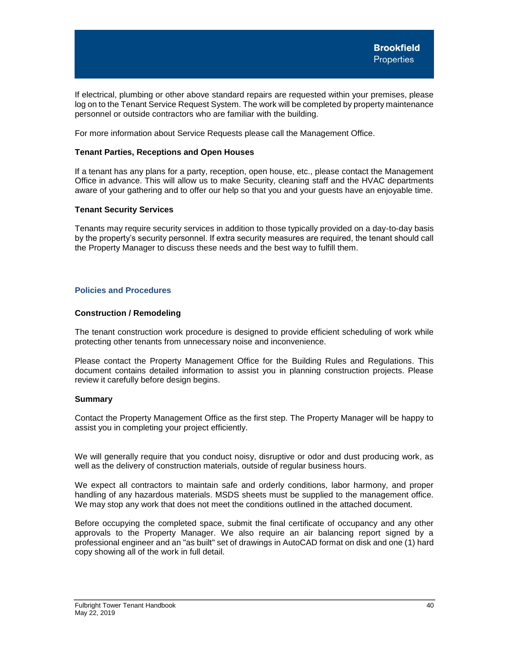If electrical, plumbing or other above standard repairs are requested within your premises, please log on to the Tenant Service Request System. The work will be completed by property maintenance personnel or outside contractors who are familiar with the building.

For more information about Service Requests please call the Management Office.

#### **Tenant Parties, Receptions and Open Houses**

If a tenant has any plans for a party, reception, open house, etc., please contact the Management Office in advance. This will allow us to make Security, cleaning staff and the HVAC departments aware of your gathering and to offer our help so that you and your guests have an enjoyable time.

#### **Tenant Security Services**

Tenants may require security services in addition to those typically provided on a day-to-day basis by the property's security personnel. If extra security measures are required, the tenant should call the Property Manager to discuss these needs and the best way to fulfill them.

## <span id="page-40-0"></span>**Policies and Procedures**

#### **Construction / Remodeling**

The tenant construction work procedure is designed to provide efficient scheduling of work while protecting other tenants from unnecessary noise and inconvenience.

Please contact the Property Management Office for the Building Rules and Regulations. This document contains detailed information to assist you in planning construction projects. Please review it carefully before design begins.

## **Summary**

Contact the Property Management Office as the first step. The Property Manager will be happy to assist you in completing your project efficiently.

We will generally require that you conduct noisy, disruptive or odor and dust producing work, as well as the delivery of construction materials, outside of regular business hours.

We expect all contractors to maintain safe and orderly conditions, labor harmony, and proper handling of any hazardous materials. MSDS sheets must be supplied to the management office. We may stop any work that does not meet the conditions outlined in the attached document.

Before occupying the completed space, submit the final certificate of occupancy and any other approvals to the Property Manager. We also require an air balancing report signed by a professional engineer and an "as built" set of drawings in AutoCAD format on disk and one (1) hard copy showing all of the work in full detail.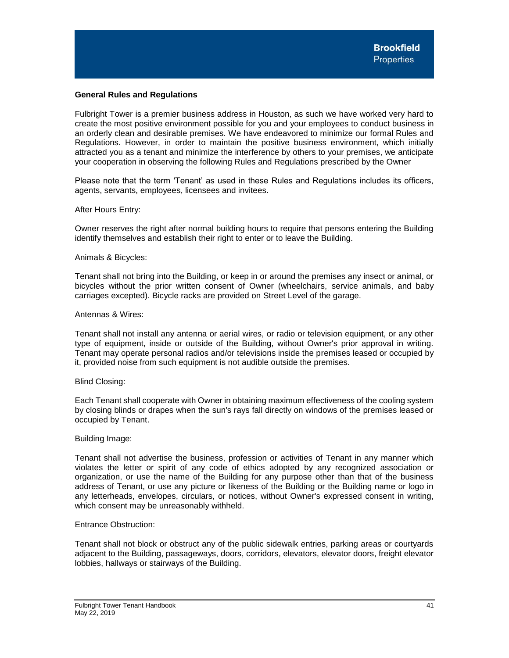## <span id="page-41-0"></span>**General Rules and Regulations**

Fulbright Tower is a premier business address in Houston, as such we have worked very hard to create the most positive environment possible for you and your employees to conduct business in an orderly clean and desirable premises. We have endeavored to minimize our formal Rules and Regulations. However, in order to maintain the positive business environment, which initially attracted you as a tenant and minimize the interference by others to your premises, we anticipate your cooperation in observing the following Rules and Regulations prescribed by the Owner

Please note that the term 'Tenant' as used in these Rules and Regulations includes its officers, agents, servants, employees, licensees and invitees.

#### After Hours Entry:

Owner reserves the right after normal building hours to require that persons entering the Building identify themselves and establish their right to enter or to leave the Building.

#### Animals & Bicycles:

Tenant shall not bring into the Building, or keep in or around the premises any insect or animal, or bicycles without the prior written consent of Owner (wheelchairs, service animals, and baby carriages excepted). Bicycle racks are provided on Street Level of the garage.

#### Antennas & Wires:

Tenant shall not install any antenna or aerial wires, or radio or television equipment, or any other type of equipment, inside or outside of the Building, without Owner's prior approval in writing. Tenant may operate personal radios and/or televisions inside the premises leased or occupied by it, provided noise from such equipment is not audible outside the premises.

## Blind Closing:

Each Tenant shall cooperate with Owner in obtaining maximum effectiveness of the cooling system by closing blinds or drapes when the sun's rays fall directly on windows of the premises leased or occupied by Tenant.

#### Building Image:

Tenant shall not advertise the business, profession or activities of Tenant in any manner which violates the letter or spirit of any code of ethics adopted by any recognized association or organization, or use the name of the Building for any purpose other than that of the business address of Tenant, or use any picture or likeness of the Building or the Building name or logo in any letterheads, envelopes, circulars, or notices, without Owner's expressed consent in writing, which consent may be unreasonably withheld.

#### Entrance Obstruction:

Tenant shall not block or obstruct any of the public sidewalk entries, parking areas or courtyards adjacent to the Building, passageways, doors, corridors, elevators, elevator doors, freight elevator lobbies, hallways or stairways of the Building.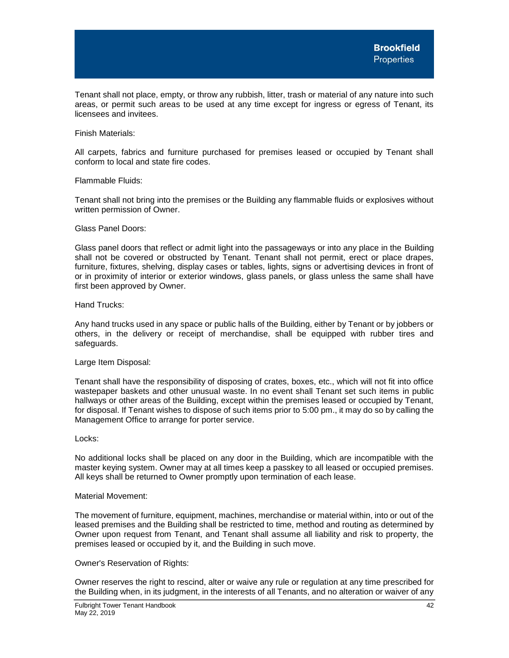Tenant shall not place, empty, or throw any rubbish, litter, trash or material of any nature into such areas, or permit such areas to be used at any time except for ingress or egress of Tenant, its licensees and invitees.

Finish Materials:

All carpets, fabrics and furniture purchased for premises leased or occupied by Tenant shall conform to local and state fire codes.

#### Flammable Fluids:

Tenant shall not bring into the premises or the Building any flammable fluids or explosives without written permission of Owner.

## Glass Panel Doors:

Glass panel doors that reflect or admit light into the passageways or into any place in the Building shall not be covered or obstructed by Tenant. Tenant shall not permit, erect or place drapes, furniture, fixtures, shelving, display cases or tables, lights, signs or advertising devices in front of or in proximity of interior or exterior windows, glass panels, or glass unless the same shall have first been approved by Owner.

#### Hand Trucks:

Any hand trucks used in any space or public halls of the Building, either by Tenant or by jobbers or others, in the delivery or receipt of merchandise, shall be equipped with rubber tires and safeguards.

#### Large Item Disposal:

Tenant shall have the responsibility of disposing of crates, boxes, etc., which will not fit into office wastepaper baskets and other unusual waste. In no event shall Tenant set such items in public hallways or other areas of the Building, except within the premises leased or occupied by Tenant, for disposal. If Tenant wishes to dispose of such items prior to 5:00 pm., it may do so by calling the Management Office to arrange for porter service.

#### Locks:

No additional locks shall be placed on any door in the Building, which are incompatible with the master keying system. Owner may at all times keep a passkey to all leased or occupied premises. All keys shall be returned to Owner promptly upon termination of each lease.

#### Material Movement:

The movement of furniture, equipment, machines, merchandise or material within, into or out of the leased premises and the Building shall be restricted to time, method and routing as determined by Owner upon request from Tenant, and Tenant shall assume all liability and risk to property, the premises leased or occupied by it, and the Building in such move.

## Owner's Reservation of Rights:

Owner reserves the right to rescind, alter or waive any rule or regulation at any time prescribed for the Building when, in its judgment, in the interests of all Tenants, and no alteration or waiver of any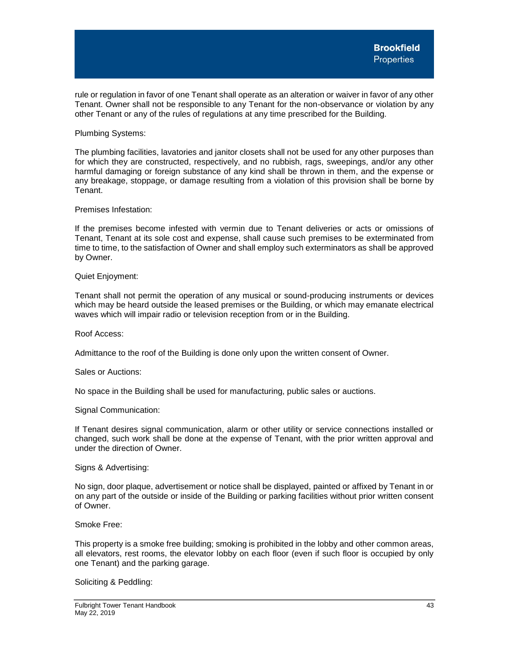rule or regulation in favor of one Tenant shall operate as an alteration or waiver in favor of any other Tenant. Owner shall not be responsible to any Tenant for the non-observance or violation by any other Tenant or any of the rules of regulations at any time prescribed for the Building.

Plumbing Systems:

The plumbing facilities, lavatories and janitor closets shall not be used for any other purposes than for which they are constructed, respectively, and no rubbish, rags, sweepings, and/or any other harmful damaging or foreign substance of any kind shall be thrown in them, and the expense or any breakage, stoppage, or damage resulting from a violation of this provision shall be borne by Tenant.

#### Premises Infestation:

If the premises become infested with vermin due to Tenant deliveries or acts or omissions of Tenant, Tenant at its sole cost and expense, shall cause such premises to be exterminated from time to time, to the satisfaction of Owner and shall employ such exterminators as shall be approved by Owner.

#### Quiet Enjoyment:

Tenant shall not permit the operation of any musical or sound-producing instruments or devices which may be heard outside the leased premises or the Building, or which may emanate electrical waves which will impair radio or television reception from or in the Building.

Roof Access:

Admittance to the roof of the Building is done only upon the written consent of Owner.

## Sales or Auctions:

No space in the Building shall be used for manufacturing, public sales or auctions.

#### Signal Communication:

If Tenant desires signal communication, alarm or other utility or service connections installed or changed, such work shall be done at the expense of Tenant, with the prior written approval and under the direction of Owner.

#### Signs & Advertising:

No sign, door plaque, advertisement or notice shall be displayed, painted or affixed by Tenant in or on any part of the outside or inside of the Building or parking facilities without prior written consent of Owner.

#### Smoke Free:

This property is a smoke free building; smoking is prohibited in the lobby and other common areas, all elevators, rest rooms, the elevator lobby on each floor (even if such floor is occupied by only one Tenant) and the parking garage.

#### Soliciting & Peddling: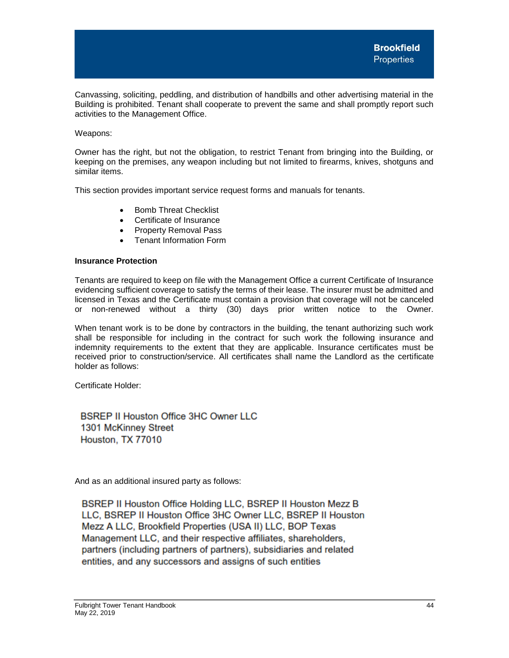Canvassing, soliciting, peddling, and distribution of handbills and other advertising material in the Building is prohibited. Tenant shall cooperate to prevent the same and shall promptly report such activities to the Management Office.

# Weapons:

Owner has the right, but not the obligation, to restrict Tenant from bringing into the Building, or keeping on the premises, any weapon including but not limited to firearms, knives, shotguns and similar items.

This section provides important service request forms and manuals for tenants.

- Bomb Threat Checklist
- Certificate of Insurance
- Property Removal Pass
- Tenant Information Form

# <span id="page-44-0"></span>**Insurance Protection**

Tenants are required to keep on file with the Management Office a current Certificate of Insurance evidencing sufficient coverage to satisfy the terms of their lease. The insurer must be admitted and licensed in Texas and the Certificate must contain a provision that coverage will not be canceled or non-renewed without a thirty (30) days prior written notice to the Owner.

When tenant work is to be done by contractors in the building, the tenant authorizing such work shall be responsible for including in the contract for such work the following insurance and indemnity requirements to the extent that they are applicable. Insurance certificates must be received prior to construction/service. All certificates shall name the Landlord as the certificate holder as follows:

Certificate Holder:

**BSREP II Houston Office 3HC Owner LLC** 1301 McKinney Street Houston, TX 77010

And as an additional insured party as follows:

BSREP II Houston Office Holding LLC, BSREP II Houston Mezz B LLC, BSREP II Houston Office 3HC Owner LLC, BSREP II Houston Mezz A LLC, Brookfield Properties (USA II) LLC, BOP Texas Management LLC, and their respective affiliates, shareholders, partners (including partners of partners), subsidiaries and related entities, and any successors and assigns of such entities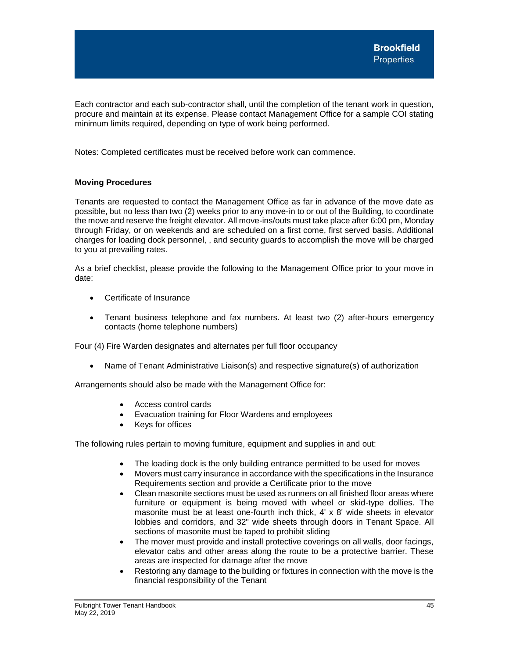Each contractor and each sub-contractor shall, until the completion of the tenant work in question, procure and maintain at its expense. Please contact Management Office for a sample COI stating minimum limits required, depending on type of work being performed.

Notes: Completed certificates must be received before work can commence.

# <span id="page-45-0"></span>**Moving Procedures**

Tenants are requested to contact the Management Office as far in advance of the move date as possible, but no less than two (2) weeks prior to any move-in to or out of the Building, to coordinate the move and reserve the freight elevator. All move-ins/outs must take place after 6:00 pm, Monday through Friday, or on weekends and are scheduled on a first come, first served basis. Additional charges for loading dock personnel, , and security guards to accomplish the move will be charged to you at prevailing rates.

As a brief checklist, please provide the following to the Management Office prior to your move in date:

- Certificate of Insurance
- Tenant business telephone and fax numbers. At least two (2) after-hours emergency contacts (home telephone numbers)

Four (4) Fire Warden designates and alternates per full floor occupancy

• Name of Tenant Administrative Liaison(s) and respective signature(s) of authorization

Arrangements should also be made with the Management Office for:

- Access control cards
- Evacuation training for Floor Wardens and employees
- Keys for offices

The following rules pertain to moving furniture, equipment and supplies in and out:

- The loading dock is the only building entrance permitted to be used for moves
- Movers must carry insurance in accordance with the specifications in the Insurance Requirements section and provide a Certificate prior to the move
- Clean masonite sections must be used as runners on all finished floor areas where furniture or equipment is being moved with wheel or skid-type dollies. The masonite must be at least one-fourth inch thick, 4' x 8' wide sheets in elevator lobbies and corridors, and 32" wide sheets through doors in Tenant Space. All sections of masonite must be taped to prohibit sliding
- The mover must provide and install protective coverings on all walls, door facings, elevator cabs and other areas along the route to be a protective barrier. These areas are inspected for damage after the move
- Restoring any damage to the building or fixtures in connection with the move is the financial responsibility of the Tenant